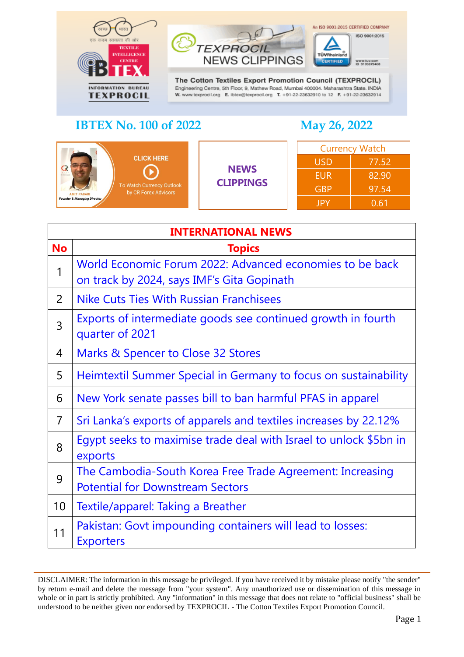

#### **NEWS CLIPPINGS** CERTIFIED www.buv.com<br>ID 9105079408 The Cotton Textiles Export Promotion Council (TEXPROCIL)

Engineering Centre, 5th Floor, 9, Mathew Road, Mumbai 400004. Maharashtra State. INDIA W. www.texprocil.org E. ibtex@texprocil.org T. +91-22-23632910 to 12 F. +91-22-23632914

# **IBTEX No. 100 of 2022 May 26, 2022**

TÜVRhei

An ISO 9001:2015 CERTIFIED COMPANY

ISO 9001:2015

| <b>CLICK HERE</b><br><b>NAME RESIDEN</b><br>To Watch Currency Outlook<br>by CR Forex Advisors<br><b>AMIT PABARI</b><br><b>Founder &amp; Managing Director</b> | <b>NEWS</b><br><b>CLIPPINGS</b> | <b>Currency Watch</b> |       |
|---------------------------------------------------------------------------------------------------------------------------------------------------------------|---------------------------------|-----------------------|-------|
|                                                                                                                                                               |                                 | <b>USD</b>            | 77.52 |
|                                                                                                                                                               |                                 | <b>EUR</b>            | 82.90 |
|                                                                                                                                                               |                                 | <b>GBP</b>            | 97.54 |
|                                                                                                                                                               |                                 | <b>JPY</b>            | 0.61  |

**TEXPROC** 

<span id="page-0-0"></span>

|                | <b>INTERNATIONAL NEWS</b>                                                                              |  |  |
|----------------|--------------------------------------------------------------------------------------------------------|--|--|
| <b>No</b>      | <b>Topics</b>                                                                                          |  |  |
| 1              | World Economic Forum 2022: Advanced economies to be back<br>on track by 2024, says IMF's Gita Gopinath |  |  |
| 2              | <b>Nike Cuts Ties With Russian Franchisees</b>                                                         |  |  |
| 3              | Exports of intermediate goods see continued growth in fourth<br>quarter of 2021                        |  |  |
| 4              | Marks & Spencer to Close 32 Stores                                                                     |  |  |
| 5              | Heimtextil Summer Special in Germany to focus on sustainability                                        |  |  |
| 6              | New York senate passes bill to ban harmful PFAS in apparel                                             |  |  |
| $\overline{7}$ | Sri Lanka's exports of apparels and textiles increases by 22.12%                                       |  |  |
| 8              | Eqypt seeks to maximise trade deal with Israel to unlock \$5bn in<br>exports                           |  |  |
| 9              | The Cambodia-South Korea Free Trade Agreement: Increasing<br><b>Potential for Downstream Sectors</b>   |  |  |
| 10             | Textile/apparel: Taking a Breather                                                                     |  |  |
| 11             | Pakistan: Govt impounding containers will lead to losses:<br><b>Exporters</b>                          |  |  |

DISCLAIMER: The information in this message be privileged. If you have received it by mistake please notify "the sender" by return e-mail and delete the message from "your system". Any unauthorized use or dissemination of this message in whole or in part is strictly prohibited. Any "information" in this message that does not relate to "official business" shall be understood to be neither given nor endorsed by TEXPROCIL - The Cotton Textiles Export Promotion Council.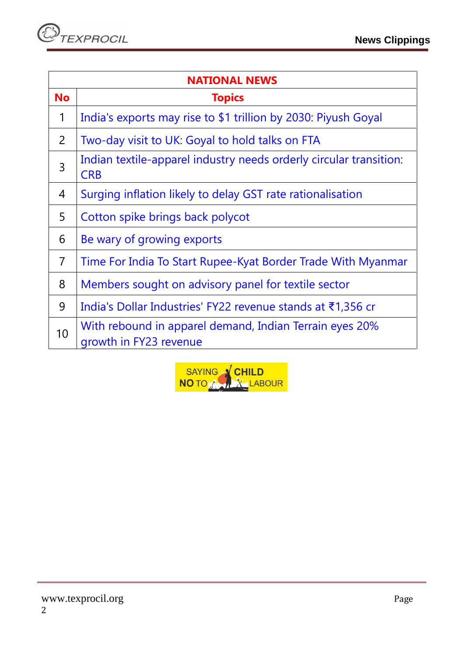| <b>NATIONAL NEWS</b> |                                                                                   |  |
|----------------------|-----------------------------------------------------------------------------------|--|
| <b>No</b>            | <b>Topics</b>                                                                     |  |
| 1                    | India's exports may rise to \$1 trillion by 2030: Piyush Goyal                    |  |
| $\overline{2}$       | Two-day visit to UK: Goyal to hold talks on FTA                                   |  |
| 3                    | Indian textile-apparel industry needs orderly circular transition:<br><b>CRB</b>  |  |
| $\overline{4}$       | Surging inflation likely to delay GST rate rationalisation                        |  |
| 5                    | Cotton spike brings back polycot                                                  |  |
| 6                    | Be wary of growing exports                                                        |  |
| $\overline{7}$       | Time For India To Start Rupee-Kyat Border Trade With Myanmar                      |  |
| 8                    | Members sought on advisory panel for textile sector                               |  |
| 9                    | India's Dollar Industries' FY22 revenue stands at ₹1,356 cr                       |  |
| 10                   | With rebound in apparel demand, Indian Terrain eyes 20%<br>growth in FY23 revenue |  |

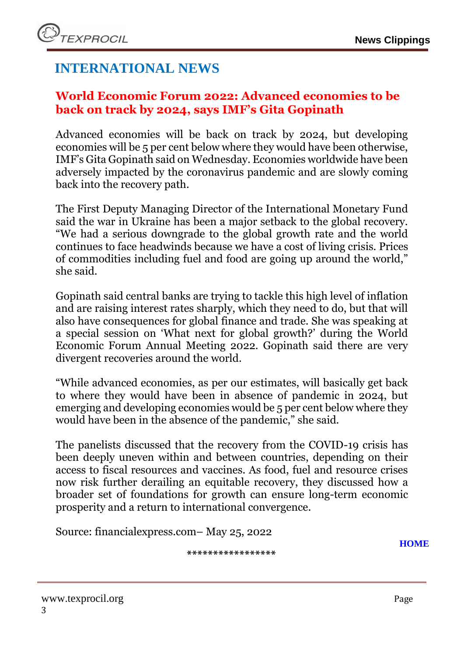# **INTERNATIONAL NEWS**

# <span id="page-2-0"></span>**World Economic Forum 2022: Advanced economies to be back on track by 2024, says IMF's Gita Gopinath**

Advanced economies will be back on track by 2024, but developing economies will be 5 per cent below where they would have been otherwise, IMF's Gita Gopinath said on Wednesday. Economies worldwide have been adversely impacted by the coronavirus pandemic and are slowly coming back into the recovery path.

The First Deputy Managing Director of the International Monetary Fund said the war in Ukraine has been a major setback to the global recovery. "We had a serious downgrade to the global growth rate and the world continues to face headwinds because we have a cost of living crisis. Prices of commodities including fuel and food are going up around the world," she said.

Gopinath said central banks are trying to tackle this high level of inflation and are raising interest rates sharply, which they need to do, but that will also have consequences for global finance and trade. She was speaking at a special session on 'What next for global growth?' during the World Economic Forum Annual Meeting 2022. Gopinath said there are very divergent recoveries around the world.

"While advanced economies, as per our estimates, will basically get back to where they would have been in absence of pandemic in 2024, but emerging and developing economies would be 5 per cent below where they would have been in the absence of the pandemic," she said.

The panelists discussed that the recovery from the COVID-19 crisis has been deeply uneven within and between countries, depending on their access to fiscal resources and vaccines. As food, fuel and resource crises now risk further derailing an equitable recovery, they discussed how a broader set of foundations for growth can ensure long-term economic prosperity and a return to international convergence.

Source: financialexpress.com– May 25, 2022

**\*\*\*\*\*\*\*\*\*\*\*\*\*\*\*\*\***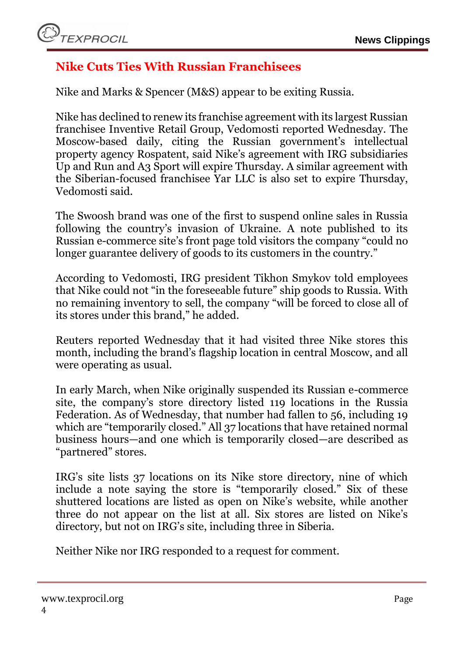# <span id="page-3-0"></span>**Nike Cuts Ties With Russian Franchisees**

Nike and Marks & Spencer (M&S) appear to be exiting Russia.

Nike has declined to renew its franchise agreement with its largest Russian franchisee Inventive Retail Group, Vedomosti reported Wednesday. The Moscow-based daily, citing the Russian government's intellectual property agency Rospatent, said Nike's agreement with IRG subsidiaries Up and Run and A3 Sport will expire Thursday. A similar agreement with the Siberian-focused franchisee Yar LLC is also set to expire Thursday, Vedomosti said.

The Swoosh brand was one of the first to suspend online sales in Russia following the country's invasion of Ukraine. A note published to its Russian e-commerce site's front page told visitors the company "could no longer guarantee delivery of goods to its customers in the country."

According to Vedomosti, IRG president Tikhon Smykov told employees that Nike could not "in the foreseeable future" ship goods to Russia. With no remaining inventory to sell, the company "will be forced to close all of its stores under this brand," he added.

Reuters reported Wednesday that it had visited three Nike stores this month, including the brand's flagship location in central Moscow, and all were operating as usual.

In early March, when Nike originally suspended its Russian e-commerce site, the company's store directory listed 119 locations in the Russia Federation. As of Wednesday, that number had fallen to 56, including 19 which are "temporarily closed." All 37 locations that have retained normal business hours—and one which is temporarily closed—are described as "partnered" stores.

IRG's site lists 37 locations on its Nike store directory, nine of which include a note saying the store is "temporarily closed." Six of these shuttered locations are listed as open on Nike's website, while another three do not appear on the list at all. Six stores are listed on Nike's directory, but not on IRG's site, including three in Siberia.

Neither Nike nor IRG responded to a request for comment.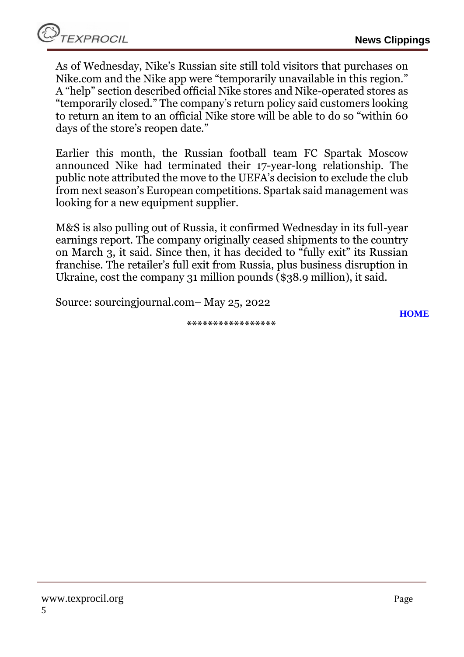As of Wednesday, Nike's Russian site still told visitors that purchases on Nike.com and the Nike app were "temporarily unavailable in this region." A "help" section described official Nike stores and Nike-operated stores as "temporarily closed." The company's return policy said customers looking to return an item to an official Nike store will be able to do so "within 60 days of the store's reopen date."

Earlier this month, the Russian football team FC Spartak Moscow announced Nike had terminated their 17-year-long relationship. The public note attributed the move to the UEFA's decision to exclude the club from next season's European competitions. Spartak said management was looking for a new equipment supplier.

M&S is also pulling out of Russia, it confirmed Wednesday in its full-year earnings report. The company originally ceased shipments to the country on March 3, it said. Since then, it has decided to "fully exit" its Russian franchise. The retailer's full exit from Russia, plus business disruption in Ukraine, cost the company 31 million pounds (\$38.9 million), it said.

Source: sourcingjournal.com– May 25, 2022

**\*\*\*\*\*\*\*\*\*\*\*\*\*\*\*\*\***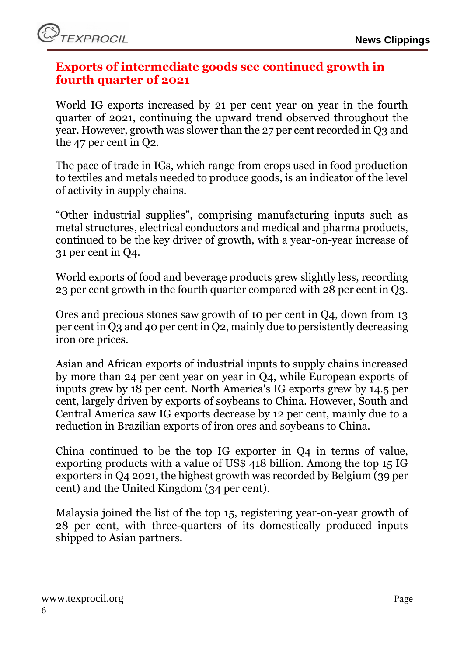# <span id="page-5-0"></span>**Exports of intermediate goods see continued growth in fourth quarter of 2021**

World IG exports increased by 21 per cent year on year in the fourth quarter of 2021, continuing the upward trend observed throughout the year. However, growth was slower than the 27 per cent recorded in Q3 and the 47 per cent in Q2.

The pace of trade in IGs, which range from crops used in food production to textiles and metals needed to produce goods, is an indicator of the level of activity in supply chains.

"Other industrial supplies", comprising manufacturing inputs such as metal structures, electrical conductors and medical and pharma products, continued to be the key driver of growth, with a year-on-year increase of 31 per cent in Q4.

World exports of food and beverage products grew slightly less, recording 23 per cent growth in the fourth quarter compared with 28 per cent in Q3.

Ores and precious stones saw growth of 10 per cent in Q4, down from 13 per cent in Q3 and 40 per cent in Q2, mainly due to persistently decreasing iron ore prices.

Asian and African exports of industrial inputs to supply chains increased by more than 24 per cent year on year in Q4, while European exports of inputs grew by 18 per cent. North America's IG exports grew by 14.5 per cent, largely driven by exports of soybeans to China. However, South and Central America saw IG exports decrease by 12 per cent, mainly due to a reduction in Brazilian exports of iron ores and soybeans to China.

China continued to be the top IG exporter in Q4 in terms of value, exporting products with a value of US\$ 418 billion. Among the top 15 IG exporters in Q4 2021, the highest growth was recorded by Belgium (39 per cent) and the United Kingdom (34 per cent).

Malaysia joined the list of the top 15, registering year-on-year growth of 28 per cent, with three-quarters of its domestically produced inputs shipped to Asian partners.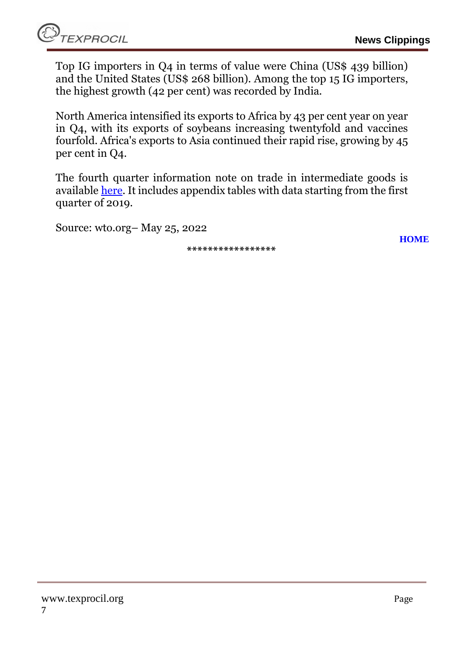**[HOME](#page-0-0)**

Top IG importers in Q4 in terms of value were China (US\$ 439 billion) and the United States (US\$ 268 billion). Among the top 15 IG importers, the highest growth (42 per cent) was recorded by India.

North America intensified its exports to Africa by 43 per cent year on year in Q4, with its exports of soybeans increasing twentyfold and vaccines fourfold. Africa's exports to Asia continued their rapid rise, growing by 45 per cent in Q4.

The fourth quarter information note on trade in intermediate goods is available [here.](https://www.wto.org/english/res_e/statis_e/miwi_e/info_note_2021q4_e.pdf) It includes appendix tables with data starting from the first quarter of 2019.

Source: wto.org– May 25, 2022

**\*\*\*\*\*\*\*\*\*\*\*\*\*\*\*\*\***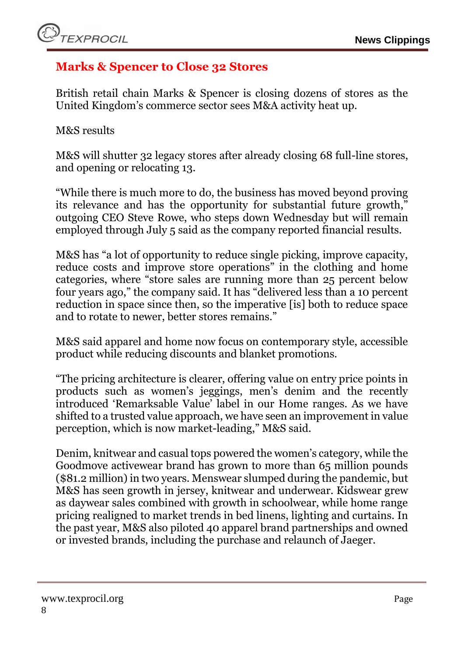# <span id="page-7-0"></span>**Marks & Spencer to Close 32 Stores**

British retail chain Marks & Spencer is closing dozens of stores as the United Kingdom's commerce sector sees M&A activity heat up.

M&S results

M&S will shutter 32 legacy stores after already closing 68 full-line stores, and opening or relocating 13.

"While there is much more to do, the business has moved beyond proving its relevance and has the opportunity for substantial future growth," outgoing CEO Steve Rowe, who steps down Wednesday but will remain employed through July 5 said as the company reported financial results.

M&S has "a lot of opportunity to reduce single picking, improve capacity, reduce costs and improve store operations" in the clothing and home categories, where "store sales are running more than 25 percent below four years ago," the company said. It has "delivered less than a 10 percent reduction in space since then, so the imperative [is] both to reduce space and to rotate to newer, better stores remains."

M&S said apparel and home now focus on contemporary style, accessible product while reducing discounts and blanket promotions.

"The pricing architecture is clearer, offering value on entry price points in products such as women's jeggings, men's denim and the recently introduced 'Remarksable Value' label in our Home ranges. As we have shifted to a trusted value approach, we have seen an improvement in value perception, which is now market-leading," M&S said.

Denim, knitwear and casual tops powered the women's category, while the Goodmove activewear brand has grown to more than 65 million pounds (\$81.2 million) in two years. Menswear slumped during the pandemic, but M&S has seen growth in jersey, knitwear and underwear. Kidswear grew as daywear sales combined with growth in schoolwear, while home range pricing realigned to market trends in bed linens, lighting and curtains. In the past year, M&S also piloted 40 apparel brand partnerships and owned or invested brands, including the purchase and relaunch of Jaeger.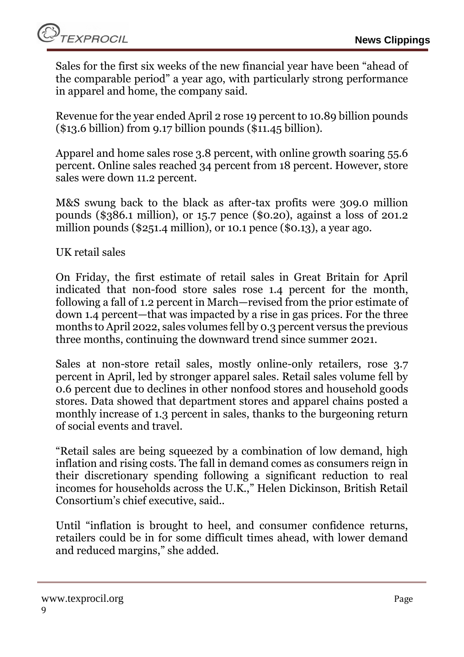Sales for the first six weeks of the new financial year have been "ahead of the comparable period" a year ago, with particularly strong performance in apparel and home, the company said.

Revenue for the year ended April 2 rose 19 percent to 10.89 billion pounds (\$13.6 billion) from 9.17 billion pounds (\$11.45 billion).

Apparel and home sales rose 3.8 percent, with online growth soaring 55.6 percent. Online sales reached 34 percent from 18 percent. However, store sales were down 11.2 percent.

M&S swung back to the black as after-tax profits were 309.0 million pounds (\$386.1 million), or 15.7 pence (\$0.20), against a loss of 201.2 million pounds (\$251.4 million), or 10.1 pence (\$0.13), a year ago.

UK retail sales

On Friday, the first estimate of retail sales in Great Britain for April indicated that non-food store sales rose 1.4 percent for the month, following a fall of 1.2 percent in March—revised from the prior estimate of down 1.4 percent—that was impacted by a rise in gas prices. For the three months to April 2022, sales volumes fell by 0.3 percent versus the previous three months, continuing the downward trend since summer 2021.

Sales at non-store retail sales, mostly online-only retailers, rose 3.7 percent in April, led by stronger apparel sales. Retail sales volume fell by 0.6 percent due to declines in other nonfood stores and household goods stores. Data showed that department stores and apparel chains posted a monthly increase of 1.3 percent in sales, thanks to the burgeoning return of social events and travel.

"Retail sales are being squeezed by a combination of low demand, high inflation and rising costs. The fall in demand comes as consumers reign in their discretionary spending following a significant reduction to real incomes for households across the U.K.," Helen Dickinson, British Retail Consortium's chief executive, said..

Until "inflation is brought to heel, and consumer confidence returns, retailers could be in for some difficult times ahead, with lower demand and reduced margins," she added.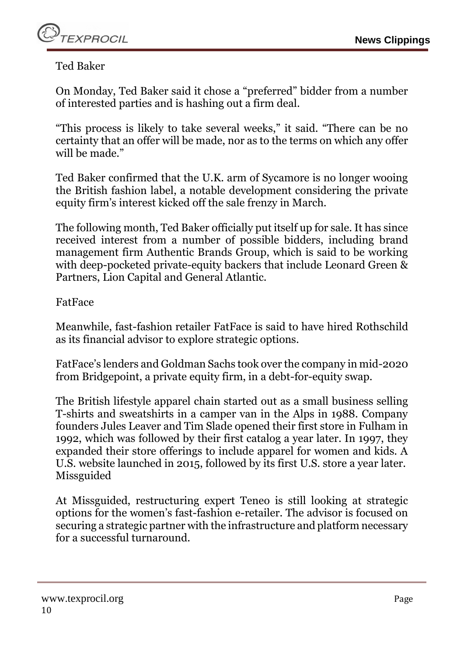Ted Baker

On Monday, Ted Baker said it chose a "preferred" bidder from a number of interested parties and is hashing out a firm deal.

"This process is likely to take several weeks," it said. "There can be no certainty that an offer will be made, nor as to the terms on which any offer will be made."

Ted Baker confirmed that the U.K. arm of Sycamore is no longer wooing the British fashion label, a notable development considering the private equity firm's interest kicked off the sale frenzy in March.

The following month, Ted Baker officially put itself up for sale. It has since received interest from a number of possible bidders, including brand management firm Authentic Brands Group, which is said to be working with deep-pocketed private-equity backers that include Leonard Green & Partners, Lion Capital and General Atlantic.

#### FatFace

Meanwhile, fast-fashion retailer FatFace is said to have hired Rothschild as its financial advisor to explore strategic options.

FatFace's lenders and Goldman Sachs took over the company in mid-2020 from Bridgepoint, a private equity firm, in a debt-for-equity swap.

The British lifestyle apparel chain started out as a small business selling T-shirts and sweatshirts in a camper van in the Alps in 1988. Company founders Jules Leaver and Tim Slade opened their first store in Fulham in 1992, which was followed by their first catalog a year later. In 1997, they expanded their store offerings to include apparel for women and kids. A U.S. website launched in 2015, followed by its first U.S. store a year later. Missguided

At Missguided, restructuring expert Teneo is still looking at strategic options for the women's fast-fashion e-retailer. The advisor is focused on securing a strategic partner with the infrastructure and platform necessary for a successful turnaround.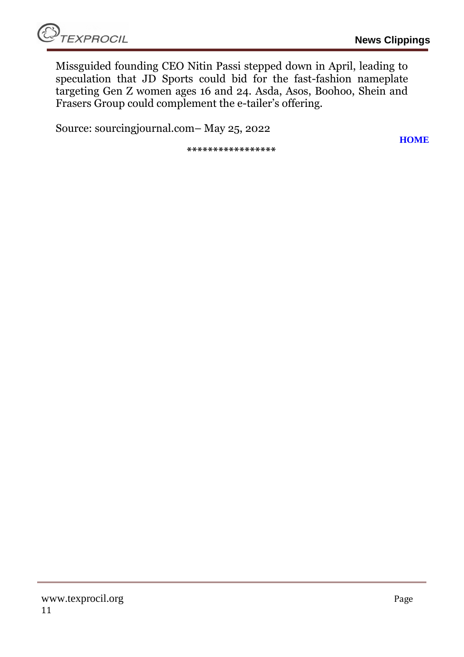**[HOME](#page-0-0)**

Missguided founding CEO Nitin Passi stepped down in April, leading to speculation that JD Sports could bid for the fast-fashion nameplate targeting Gen Z women ages 16 and 24. Asda, Asos, Boohoo, Shein and Frasers Group could complement the e-tailer's offering.

Source: sourcingjournal.com– May 25, 2022

**\*\*\*\*\*\*\*\*\*\*\*\*\*\*\*\*\***

www.texprocil.org Page 11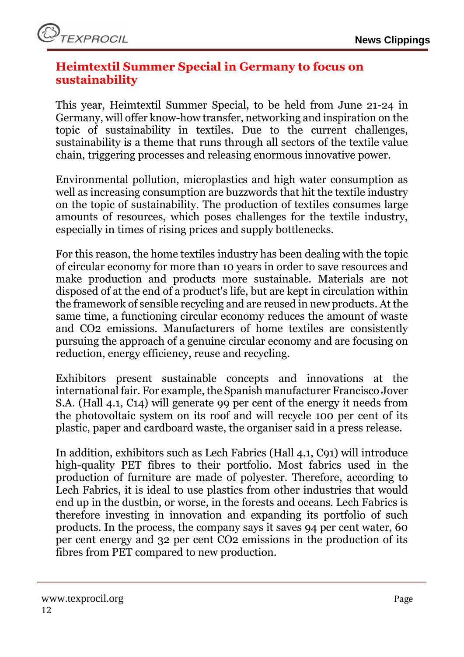# <span id="page-11-0"></span>**Heimtextil Summer Special in Germany to focus on sustainability**

This year, Heimtextil Summer Special, to be held from June 21-24 in Germany, will offer know-how transfer, networking and inspiration on the topic of sustainability in textiles. Due to the current challenges, sustainability is a theme that runs through all sectors of the textile value chain, triggering processes and releasing enormous innovative power.

Environmental pollution, microplastics and high water consumption as well as increasing consumption are buzzwords that hit the textile industry on the topic of sustainability. The production of textiles consumes large amounts of resources, which poses challenges for the textile industry, especially in times of rising prices and supply bottlenecks.

For this reason, the home textiles industry has been dealing with the topic of circular economy for more than 10 years in order to save resources and make production and products more sustainable. Materials are not disposed of at the end of a product's life, but are kept in circulation within the framework of sensible recycling and are reused in new products. At the same time, a functioning circular economy reduces the amount of waste and CO2 emissions. Manufacturers of home textiles are consistently pursuing the approach of a genuine circular economy and are focusing on reduction, energy efficiency, reuse and recycling.

Exhibitors present sustainable concepts and innovations at the international fair. For example, the Spanish manufacturer Francisco Jover S.A. (Hall 4.1, C14) will generate 99 per cent of the energy it needs from the photovoltaic system on its roof and will recycle 100 per cent of its plastic, paper and cardboard waste, the organiser said in a press release.

In addition, exhibitors such as Lech Fabrics (Hall 4.1, C91) will introduce high-quality PET fibres to their portfolio. Most fabrics used in the production of furniture are made of polyester. Therefore, according to Lech Fabrics, it is ideal to use plastics from other industries that would end up in the dustbin, or worse, in the forests and oceans. Lech Fabrics is therefore investing in innovation and expanding its portfolio of such products. In the process, the company says it saves 94 per cent water, 60 per cent energy and 32 per cent CO2 emissions in the production of its fibres from PET compared to new production.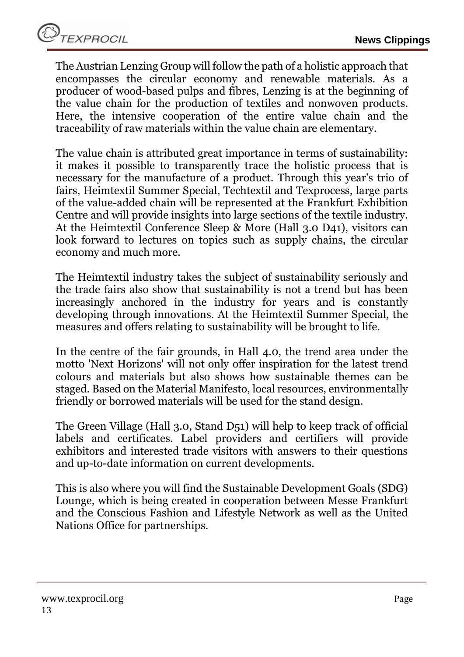The Austrian Lenzing Group will follow the path of a holistic approach that encompasses the circular economy and renewable materials. As a producer of wood-based pulps and fibres, Lenzing is at the beginning of the value chain for the production of textiles and nonwoven products. Here, the intensive cooperation of the entire value chain and the traceability of raw materials within the value chain are elementary.

The value chain is attributed great importance in terms of sustainability: it makes it possible to transparently trace the holistic process that is necessary for the manufacture of a product. Through this year's trio of fairs, Heimtextil Summer Special, Techtextil and Texprocess, large parts of the value-added chain will be represented at the Frankfurt Exhibition Centre and will provide insights into large sections of the textile industry. At the Heimtextil Conference Sleep & More (Hall 3.0 D41), visitors can look forward to lectures on topics such as supply chains, the circular economy and much more.

The Heimtextil industry takes the subject of sustainability seriously and the trade fairs also show that sustainability is not a trend but has been increasingly anchored in the industry for years and is constantly developing through innovations. At the Heimtextil Summer Special, the measures and offers relating to sustainability will be brought to life.

In the centre of the fair grounds, in Hall 4.0, the trend area under the motto 'Next Horizons' will not only offer inspiration for the latest trend colours and materials but also shows how sustainable themes can be staged. Based on the Material Manifesto, local resources, environmentally friendly or borrowed materials will be used for the stand design.

The Green Village (Hall 3.0, Stand D51) will help to keep track of official labels and certificates. Label providers and certifiers will provide exhibitors and interested trade visitors with answers to their questions and up-to-date information on current developments.

This is also where you will find the Sustainable Development Goals (SDG) Lounge, which is being created in cooperation between Messe Frankfurt and the Conscious Fashion and Lifestyle Network as well as the United Nations Office for partnerships.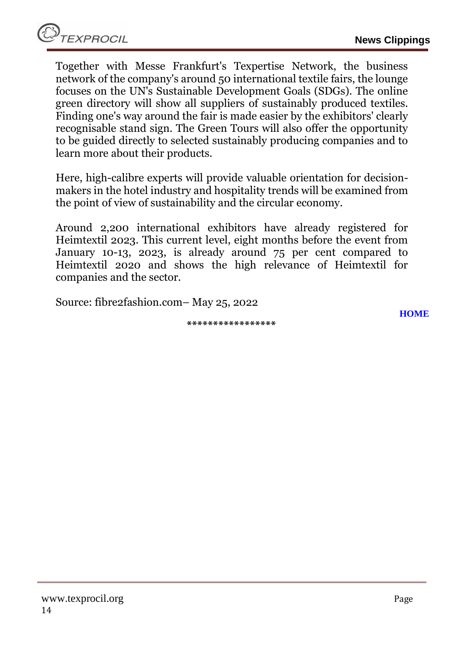Together with Messe Frankfurt's Texpertise Network, the business network of the company's around 50 international textile fairs, the lounge focuses on the UN's Sustainable Development Goals (SDGs). The online green directory will show all suppliers of sustainably produced textiles. Finding one's way around the fair is made easier by the exhibitors' clearly recognisable stand sign. The Green Tours will also offer the opportunity to be guided directly to selected sustainably producing companies and to learn more about their products.

Here, high-calibre experts will provide valuable orientation for decisionmakers in the hotel industry and hospitality trends will be examined from the point of view of sustainability and the circular economy.

Around 2,200 international exhibitors have already registered for Heimtextil 2023. This current level, eight months before the event from January 10-13, 2023, is already around 75 per cent compared to Heimtextil 2020 and shows the high relevance of Heimtextil for companies and the sector.

Source: fibre2fashion.com– May 25, 2022

**\*\*\*\*\*\*\*\*\*\*\*\*\*\*\*\*\***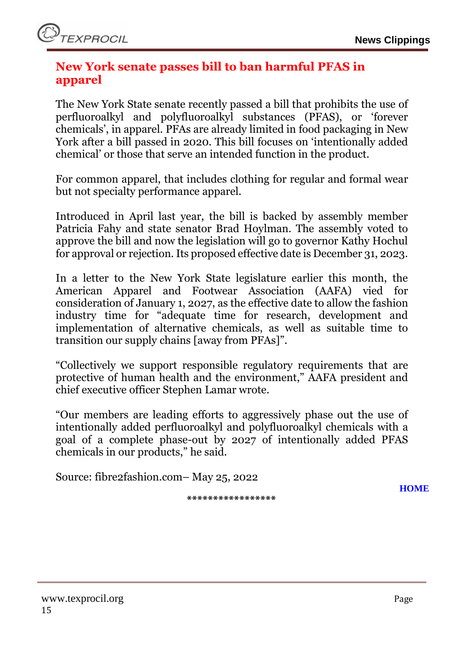# <span id="page-14-0"></span>**New York senate passes bill to ban harmful PFAS in apparel**

The New York State senate recently passed a bill that prohibits the use of perfluoroalkyl and polyfluoroalkyl substances (PFAS), or 'forever chemicals', in apparel. PFAs are already limited in food packaging in New York after a bill passed in 2020. This bill focuses on 'intentionally added chemical' or those that serve an intended function in the product.

For common apparel, that includes clothing for regular and formal wear but not specialty performance apparel.

Introduced in April last year, the bill is backed by assembly member Patricia Fahy and state senator Brad Hoylman. The assembly voted to approve the bill and now the legislation will go to governor Kathy Hochul for approval or rejection. Its proposed effective date is December 31, 2023.

In a letter to the New York State legislature earlier this month, the American Apparel and Footwear Association (AAFA) vied for consideration of January 1, 2027, as the effective date to allow the fashion industry time for "adequate time for research, development and implementation of alternative chemicals, as well as suitable time to transition our supply chains [away from PFAs]".

"Collectively we support responsible regulatory requirements that are protective of human health and the environment," AAFA president and chief executive officer Stephen Lamar wrote.

"Our members are leading efforts to aggressively phase out the use of intentionally added perfluoroalkyl and polyfluoroalkyl chemicals with a goal of a complete phase-out by 2027 of intentionally added PFAS chemicals in our products," he said.

Source: fibre2fashion.com– May 25, 2022

**\*\*\*\*\*\*\*\*\*\*\*\*\*\*\*\*\***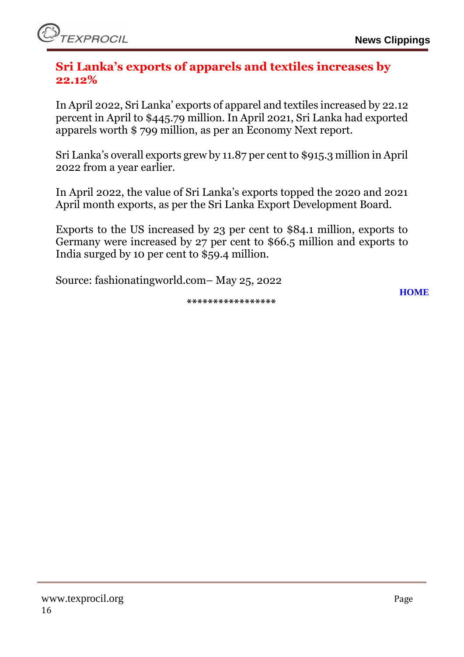### <span id="page-15-0"></span>**Sri Lanka's exports of apparels and textiles increases by 22.12%**

In April 2022, Sri Lanka' exports of apparel and textiles increased by 22.12 percent in April to \$445.79 million. In April 2021, Sri Lanka had exported apparels worth \$ 799 million, as per an Economy Next report.

Sri Lanka's overall exports grew by 11.87 per cent to \$915.3 million in April 2022 from a year earlier.

In April 2022, the value of Sri Lanka's exports topped the 2020 and 2021 April month exports, as per the Sri Lanka Export Development Board.

Exports to the US increased by 23 per cent to \$84.1 million, exports to Germany were increased by 27 per cent to \$66.5 million and exports to India surged by 10 per cent to \$59.4 million.

Source: fashionatingworld.com– May 25, 2022

**\*\*\*\*\*\*\*\*\*\*\*\*\*\*\*\*\***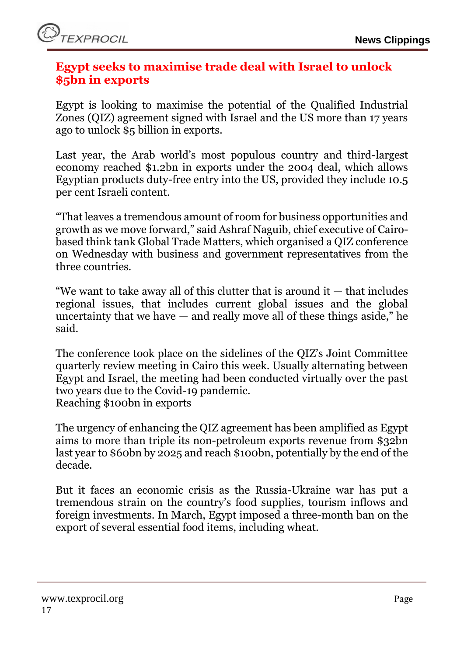

#### <span id="page-16-0"></span>**Egypt seeks to maximise trade deal with Israel to unlock \$5bn in exports**

Egypt is looking to maximise the potential of the Qualified Industrial Zones (QIZ) agreement signed with Israel and the US more than 17 years ago to unlock \$5 billion in exports.

Last year, the Arab world's most populous country and third-largest economy reached \$1.2bn in exports under the 2004 deal, which allows Egyptian products duty-free entry into the US, provided they include 10.5 per cent Israeli content.

"That leaves a tremendous amount of room for business opportunities and growth as we move forward," said Ashraf Naguib, chief executive of Cairobased think tank Global Trade Matters, which organised a QIZ conference on Wednesday with business and government representatives from the three countries.

"We want to take away all of this clutter that is around it — that includes regional issues, that includes current global issues and the global uncertainty that we have  $-$  and really move all of these things aside," he said.

The conference took place on the sidelines of the QIZ's Joint Committee quarterly review meeting in Cairo this week. Usually alternating between Egypt and Israel, the meeting had been conducted virtually over the past two years due to the Covid-19 pandemic. Reaching \$100bn in exports

The urgency of enhancing the QIZ agreement has been amplified as Egypt aims to more than triple its non-petroleum exports revenue from \$32bn last year to \$60bn by 2025 and reach \$100bn, potentially by the end of the decade.

But it faces an economic crisis as the Russia-Ukraine war has put a tremendous strain on the country's food supplies, tourism inflows and foreign investments. In March, Egypt imposed a three-month ban on the export of several essential food items, including wheat.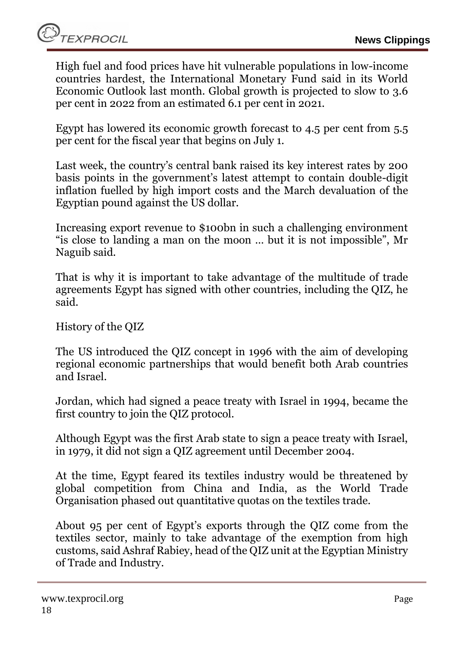High fuel and food prices have hit vulnerable populations in low-income countries hardest, the International Monetary Fund said in its World Economic Outlook last month. Global growth is projected to slow to 3.6 per cent in 2022 from an estimated 6.1 per cent in 2021.

Egypt has lowered its economic growth forecast to 4.5 per cent from 5.5 per cent for the fiscal year that begins on July 1.

Last week, the country's central bank raised its key interest rates by 200 basis points in the government's latest attempt to contain double-digit inflation fuelled by high import costs and the March devaluation of the Egyptian pound against the US dollar.

Increasing export revenue to \$100bn in such a challenging environment "is close to landing a man on the moon … but it is not impossible", Mr Naguib said.

That is why it is important to take advantage of the multitude of trade agreements Egypt has signed with other countries, including the QIZ, he said.

History of the QIZ

The US introduced the QIZ concept in 1996 with the aim of developing regional economic partnerships that would benefit both Arab countries and Israel.

Jordan, which had signed a peace treaty with Israel in 1994, became the first country to join the QIZ protocol.

Although Egypt was the first Arab state to sign a peace treaty with Israel, in 1979, it did not sign a QIZ agreement until December 2004.

At the time, Egypt feared its textiles industry would be threatened by global competition from China and India, as the World Trade Organisation phased out quantitative quotas on the textiles trade.

About 95 per cent of Egypt's exports through the QIZ come from the textiles sector, mainly to take advantage of the exemption from high customs, said Ashraf Rabiey, head of the QIZ unit at the Egyptian Ministry of Trade and Industry.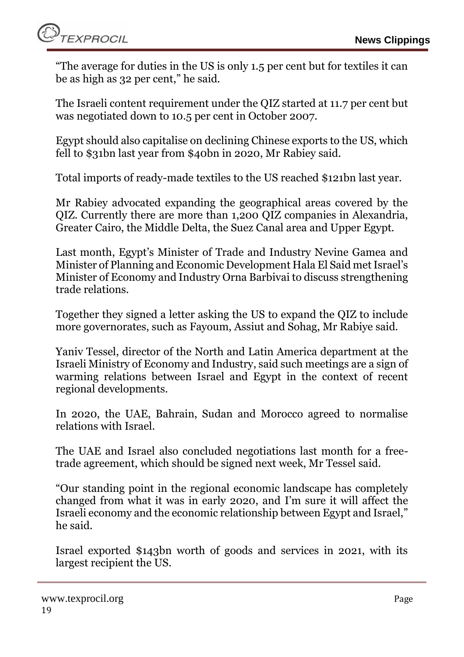"The average for duties in the US is only 1.5 per cent but for textiles it can be as high as 32 per cent," he said.

The Israeli content requirement under the QIZ started at 11.7 per cent but was negotiated down to 10.5 per cent in October 2007.

Egypt should also capitalise on declining Chinese exports to the US, which fell to \$31bn last year from \$40bn in 2020, Mr Rabiey said.

Total imports of ready-made textiles to the US reached \$121bn last year.

Mr Rabiey advocated expanding the geographical areas covered by the QIZ. Currently there are more than 1,200 QIZ companies in Alexandria, Greater Cairo, the Middle Delta, the Suez Canal area and Upper Egypt.

Last month, Egypt's Minister of Trade and Industry Nevine Gamea and Minister of Planning and Economic Development Hala El Said met Israel's Minister of Economy and Industry Orna Barbivai to discuss strengthening trade relations.

Together they signed a letter asking the US to expand the QIZ to include more governorates, such as Fayoum, Assiut and Sohag, Mr Rabiye said.

Yaniv Tessel, director of the North and Latin America department at the Israeli Ministry of Economy and Industry, said such meetings are a sign of warming relations between Israel and Egypt in the context of recent regional developments.

In 2020, the UAE, Bahrain, Sudan and Morocco agreed to normalise relations with Israel.

The UAE and Israel also concluded negotiations last month for a freetrade agreement, which should be signed next week, Mr Tessel said.

"Our standing point in the regional economic landscape has completely changed from what it was in early 2020, and I'm sure it will affect the Israeli economy and the economic relationship between Egypt and Israel," he said.

Israel exported \$143bn worth of goods and services in 2021, with its largest recipient the US.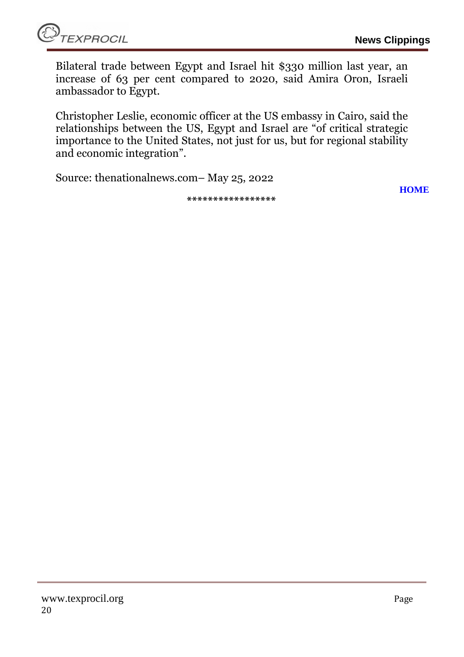Bilateral trade between Egypt and Israel hit \$330 million last year, an increase of 63 per cent compared to 2020, said Amira Oron, Israeli ambassador to Egypt.

Christopher Leslie, economic officer at the US embassy in Cairo, said the relationships between the US, Egypt and Israel are "of critical strategic importance to the United States, not just for us, but for regional stability and economic integration".

Source: thenationalnews.com– May 25, 2022

**\*\*\*\*\*\*\*\*\*\*\*\*\*\*\*\*\***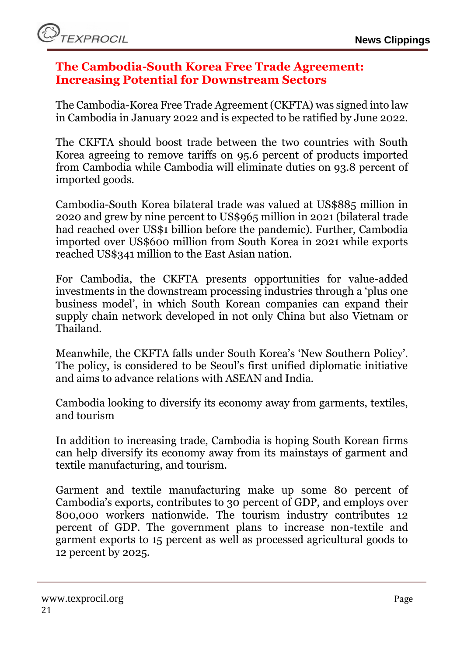#### <span id="page-20-0"></span>**The Cambodia-South Korea Free Trade Agreement: Increasing Potential for Downstream Sectors**

The Cambodia-Korea Free Trade Agreement (CKFTA) was signed into law in Cambodia in January 2022 and is expected to be ratified by June 2022.

The CKFTA should boost trade between the two countries with South Korea agreeing to remove tariffs on 95.6 percent of products imported from Cambodia while Cambodia will eliminate duties on 93.8 percent of imported goods.

Cambodia-South Korea bilateral trade was valued at US\$885 million in 2020 and grew by nine percent to US\$965 million in 2021 (bilateral trade had reached over US\$1 billion before the pandemic). Further, Cambodia imported over US\$600 million from South Korea in 2021 while exports reached US\$341 million to the East Asian nation.

For Cambodia, the CKFTA presents opportunities for value-added investments in the downstream processing industries through a 'plus one business model', in which South Korean companies can expand their supply chain network developed in not only China but also Vietnam or Thailand.

Meanwhile, the CKFTA falls under South Korea's 'New Southern Policy'. The policy, is considered to be Seoul's first unified diplomatic initiative and aims to advance relations with ASEAN and India.

Cambodia looking to diversify its economy away from garments, textiles, and tourism

In addition to increasing trade, Cambodia is hoping South Korean firms can help diversify its economy away from its mainstays of garment and textile manufacturing, and tourism.

Garment and textile manufacturing make up some 80 percent of Cambodia's exports, contributes to 30 percent of GDP, and employs over 800,000 workers nationwide. The tourism industry contributes 12 percent of GDP. The government plans to increase non-textile and garment exports to 15 percent as well as processed agricultural goods to 12 percent by 2025.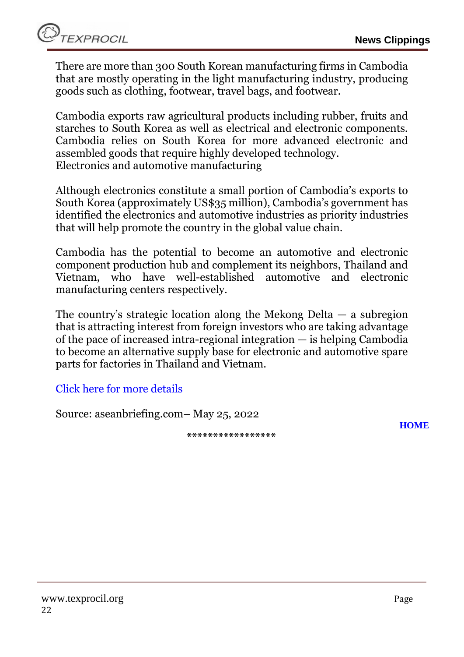There are more than 300 South Korean manufacturing firms in Cambodia that are mostly operating in the light manufacturing industry, producing goods such as clothing, footwear, travel bags, and footwear.

Cambodia exports raw agricultural products including rubber, fruits and starches to South Korea as well as electrical and electronic components. Cambodia relies on South Korea for more advanced electronic and assembled goods that require highly developed technology. Electronics and automotive manufacturing

Although electronics constitute a small portion of Cambodia's exports to South Korea (approximately US\$35 million), Cambodia's government has identified the electronics and automotive industries as priority industries that will help promote the country in the global value chain.

Cambodia has the potential to become an automotive and electronic component production hub and complement its neighbors, Thailand and Vietnam, who have well-established automotive and electronic manufacturing centers respectively.

The country's strategic location along the Mekong Delta — a subregion that is attracting interest from foreign investors who are taking advantage of the pace of increased intra-regional integration — is helping Cambodia to become an alternative supply base for electronic and automotive spare parts for factories in Thailand and Vietnam.

[Click here for more details](https://www.aseanbriefing.com/news/the-cambodia-south-korea-free-trade-agreement-increasing-potential-for-downstream-sectors/)

Source: aseanbriefing.com– May 25, 2022

**\*\*\*\*\*\*\*\*\*\*\*\*\*\*\*\*\***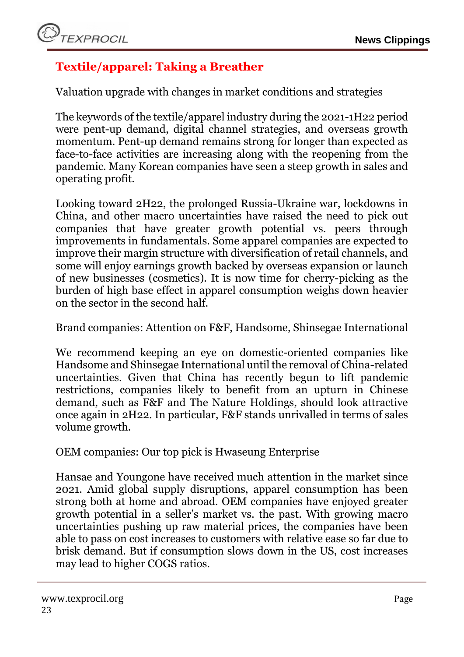# <span id="page-22-0"></span>**Textile/apparel: Taking a Breather**

Valuation upgrade with changes in market conditions and strategies

The keywords of the textile/apparel industry during the 2021-1H22 period were pent-up demand, digital channel strategies, and overseas growth momentum. Pent-up demand remains strong for longer than expected as face-to-face activities are increasing along with the reopening from the pandemic. Many Korean companies have seen a steep growth in sales and operating profit.

Looking toward 2H22, the prolonged Russia-Ukraine war, lockdowns in China, and other macro uncertainties have raised the need to pick out companies that have greater growth potential vs. peers through improvements in fundamentals. Some apparel companies are expected to improve their margin structure with diversification of retail channels, and some will enjoy earnings growth backed by overseas expansion or launch of new businesses (cosmetics). It is now time for cherry-picking as the burden of high base effect in apparel consumption weighs down heavier on the sector in the second half.

Brand companies: Attention on F&F, Handsome, Shinsegae International

We recommend keeping an eye on domestic-oriented companies like Handsome and Shinsegae International until the removal of China-related uncertainties. Given that China has recently begun to lift pandemic restrictions, companies likely to benefit from an upturn in Chinese demand, such as F&F and The Nature Holdings, should look attractive once again in 2H22. In particular, F&F stands unrivalled in terms of sales volume growth.

OEM companies: Our top pick is Hwaseung Enterprise

Hansae and Youngone have received much attention in the market since 2021. Amid global supply disruptions, apparel consumption has been strong both at home and abroad. OEM companies have enjoyed greater growth potential in a seller's market vs. the past. With growing macro uncertainties pushing up raw material prices, the companies have been able to pass on cost increases to customers with relative ease so far due to brisk demand. But if consumption slows down in the US, cost increases may lead to higher COGS ratios.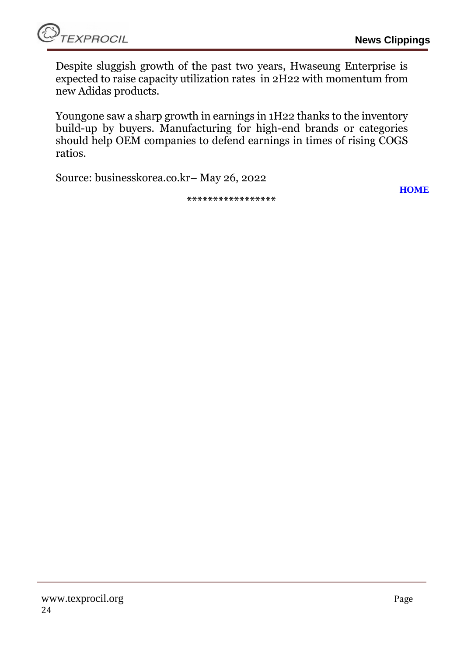Despite sluggish growth of the past two years, Hwaseung Enterprise is expected to raise capacity utilization rates in 2H22 with momentum from new Adidas products.

Youngone saw a sharp growth in earnings in 1H22 thanks to the inventory build-up by buyers. Manufacturing for high-end brands or categories should help OEM companies to defend earnings in times of rising COGS ratios.

Source: businesskorea.co.kr– May 26, 2022

**\*\*\*\*\*\*\*\*\*\*\*\*\*\*\*\*\***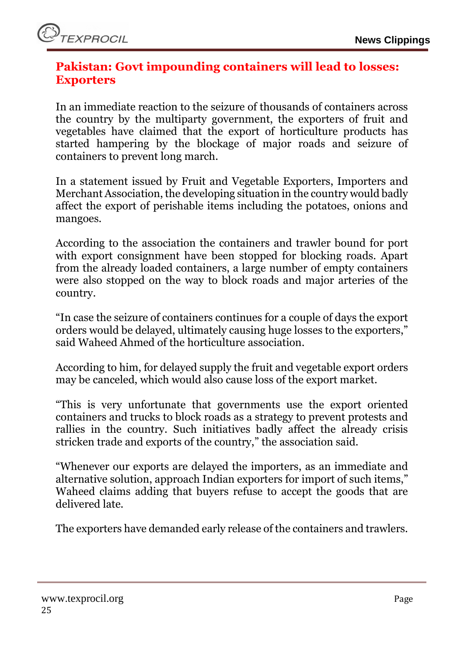# <span id="page-24-0"></span>**Pakistan: Govt impounding containers will lead to losses: Exporters**

In an immediate reaction to the seizure of thousands of containers across the country by the multiparty government, the exporters of fruit and vegetables have claimed that the export of horticulture products has started hampering by the blockage of major roads and seizure of containers to prevent long march.

In a statement issued by Fruit and Vegetable Exporters, Importers and Merchant Association, the developing situation in the country would badly affect the export of perishable items including the potatoes, onions and mangoes.

According to the association the containers and trawler bound for port with export consignment have been stopped for blocking roads. Apart from the already loaded containers, a large number of empty containers were also stopped on the way to block roads and major arteries of the country.

"In case the seizure of containers continues for a couple of days the export orders would be delayed, ultimately causing huge losses to the exporters," said Waheed Ahmed of the horticulture association.

According to him, for delayed supply the fruit and vegetable export orders may be canceled, which would also cause loss of the export market.

"This is very unfortunate that governments use the export oriented containers and trucks to block roads as a strategy to prevent protests and rallies in the country. Such initiatives badly affect the already crisis stricken trade and exports of the country," the association said.

"Whenever our exports are delayed the importers, as an immediate and alternative solution, approach Indian exporters for import of such items," Waheed claims adding that buyers refuse to accept the goods that are delivered late.

The exporters have demanded early release of the containers and trawlers.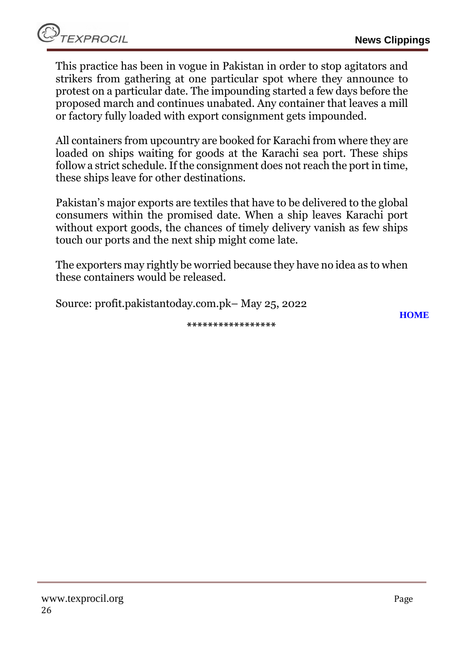This practice has been in vogue in Pakistan in order to stop agitators and strikers from gathering at one particular spot where they announce to protest on a particular date. The impounding started a few days before the proposed march and continues unabated. Any container that leaves a mill or factory fully loaded with export consignment gets impounded.

All containers from upcountry are booked for Karachi from where they are loaded on ships waiting for goods at the Karachi sea port. These ships follow a strict schedule. If the consignment does not reach the port in time, these ships leave for other destinations.

Pakistan's major exports are textiles that have to be delivered to the global consumers within the promised date. When a ship leaves Karachi port without export goods, the chances of timely delivery vanish as few ships touch our ports and the next ship might come late.

The exporters may rightly be worried because they have no idea as to when these containers would be released.

**\*\*\*\*\*\*\*\*\*\*\*\*\*\*\*\*\***

Source: profit.pakistantoday.com.pk– May 25, 2022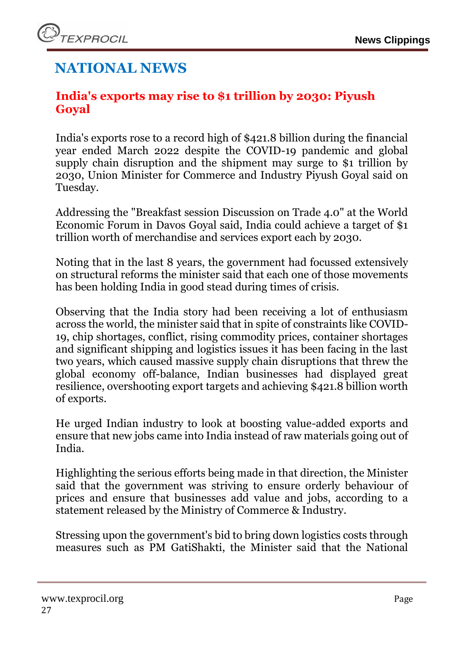# **NATIONAL NEWS**

# <span id="page-26-0"></span>**India's exports may rise to \$1 trillion by 2030: Piyush Goyal**

India's exports rose to a record high of \$421.8 billion during the financial year ended March 2022 despite the COVID-19 pandemic and global supply chain disruption and the shipment may surge to \$1 trillion by 2030, Union Minister for Commerce and Industry Piyush Goyal said on Tuesday.

Addressing the "Breakfast session Discussion on Trade 4.0" at the World Economic Forum in Davos Goyal said, India could achieve a target of \$1 trillion worth of merchandise and services export each by 2030.

Noting that in the last 8 years, the government had focussed extensively on structural reforms the minister said that each one of those movements has been holding India in good stead during times of crisis.

Observing that the India story had been receiving a lot of enthusiasm across the world, the minister said that in spite of constraints like COVID-19, chip shortages, conflict, rising commodity prices, container shortages and significant shipping and logistics issues it has been facing in the last two years, which caused massive supply chain disruptions that threw the global economy off-balance, Indian businesses had displayed great resilience, overshooting export targets and achieving \$421.8 billion worth of exports.

He urged Indian industry to look at boosting value-added exports and ensure that new jobs came into India instead of raw materials going out of India.

Highlighting the serious efforts being made in that direction, the Minister said that the government was striving to ensure orderly behaviour of prices and ensure that businesses add value and jobs, according to a statement released by the Ministry of Commerce & Industry.

Stressing upon the government's bid to bring down logistics costs through measures such as PM GatiShakti, the Minister said that the National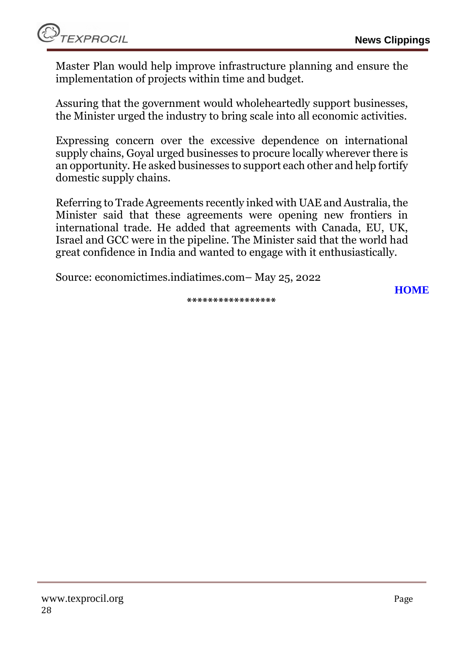Master Plan would help improve infrastructure planning and ensure the implementation of projects within time and budget.

Assuring that the government would wholeheartedly support businesses, the Minister urged the industry to bring scale into all economic activities.

Expressing concern over the excessive dependence on international supply chains, Goyal urged businesses to procure locally wherever there is an opportunity. He asked businesses to support each other and help fortify domestic supply chains.

Referring to Trade Agreements recently inked with UAE and Australia, the Minister said that these agreements were opening new frontiers in international trade. He added that agreements with Canada, EU, UK, Israel and GCC were in the pipeline. The Minister said that the world had great confidence in India and wanted to engage with it enthusiastically.

Source: economictimes.indiatimes.com– May 25, 2022

**[HOME](#page-0-0)**

**\*\*\*\*\*\*\*\*\*\*\*\*\*\*\*\*\***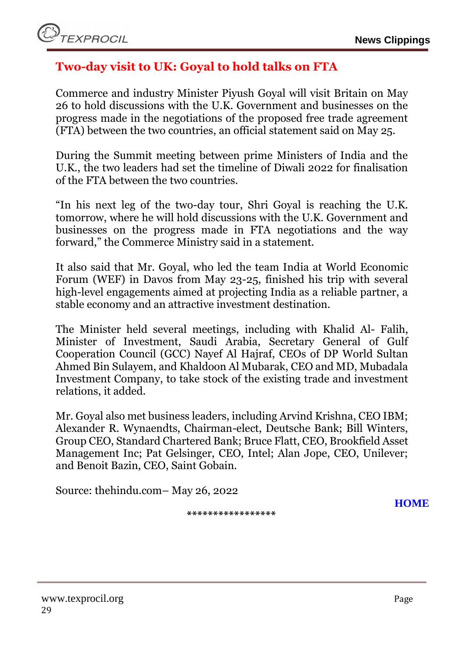# <span id="page-28-0"></span>**Two-day visit to UK: Goyal to hold talks on FTA**

Commerce and industry Minister Piyush Goyal will visit Britain on May 26 to hold discussions with the U.K. Government and businesses on the progress made in the negotiations of the proposed free trade agreement (FTA) between the two countries, an official statement said on May 25.

During the Summit meeting between prime Ministers of India and the U.K., the two leaders had set the timeline of Diwali 2022 for finalisation of the FTA between the two countries.

"In his next leg of the two-day tour, Shri Goyal is reaching the U.K. tomorrow, where he will hold discussions with the U.K. Government and businesses on the progress made in FTA negotiations and the way forward," the Commerce Ministry said in a statement.

It also said that Mr. Goyal, who led the team India at World Economic Forum (WEF) in Davos from May 23-25, finished his trip with several high-level engagements aimed at projecting India as a reliable partner, a stable economy and an attractive investment destination.

The Minister held several meetings, including with Khalid Al- Falih, Minister of Investment, Saudi Arabia, Secretary General of Gulf Cooperation Council (GCC) Nayef Al Hajraf, CEOs of DP World Sultan Ahmed Bin Sulayem, and Khaldoon Al Mubarak, CEO and MD, Mubadala Investment Company, to take stock of the existing trade and investment relations, it added.

Mr. Goyal also met business leaders, including Arvind Krishna, CEO IBM; Alexander R. Wynaendts, Chairman-elect, Deutsche Bank; Bill Winters, Group CEO, Standard Chartered Bank; Bruce Flatt, CEO, Brookfield Asset Management Inc; Pat Gelsinger, CEO, Intel; Alan Jope, CEO, Unilever; and Benoit Bazin, CEO, Saint Gobain.

Source: thehindu.com– May 26, 2022

**\*\*\*\*\*\*\*\*\*\*\*\*\*\*\*\*\***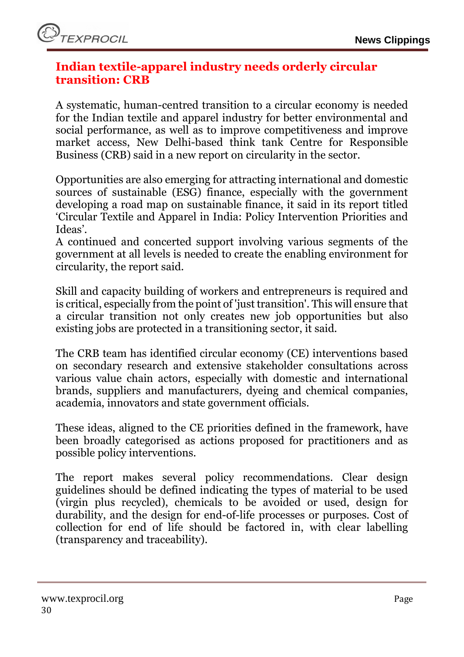# <span id="page-29-0"></span>**Indian textile-apparel industry needs orderly circular transition: CRB**

A systematic, human-centred transition to a circular economy is needed for the Indian textile and apparel industry for better environmental and social performance, as well as to improve competitiveness and improve market access, New Delhi-based think tank Centre for Responsible Business (CRB) said in a new report on circularity in the sector.

Opportunities are also emerging for attracting international and domestic sources of sustainable (ESG) finance, especially with the government developing a road map on sustainable finance, it said in its report titled 'Circular Textile and Apparel in India: Policy Intervention Priorities and Ideas'.

A continued and concerted support involving various segments of the government at all levels is needed to create the enabling environment for circularity, the report said.

Skill and capacity building of workers and entrepreneurs is required and is critical, especially from the point of 'just transition'. This will ensure that a circular transition not only creates new job opportunities but also existing jobs are protected in a transitioning sector, it said.

The CRB team has identified circular economy (CE) interventions based on secondary research and extensive stakeholder consultations across various value chain actors, especially with domestic and international brands, suppliers and manufacturers, dyeing and chemical companies, academia, innovators and state government officials.

These ideas, aligned to the CE priorities defined in the framework, have been broadly categorised as actions proposed for practitioners and as possible policy interventions.

The report makes several policy recommendations. Clear design guidelines should be defined indicating the types of material to be used (virgin plus recycled), chemicals to be avoided or used, design for durability, and the design for end-of-life processes or purposes. Cost of collection for end of life should be factored in, with clear labelling (transparency and traceability).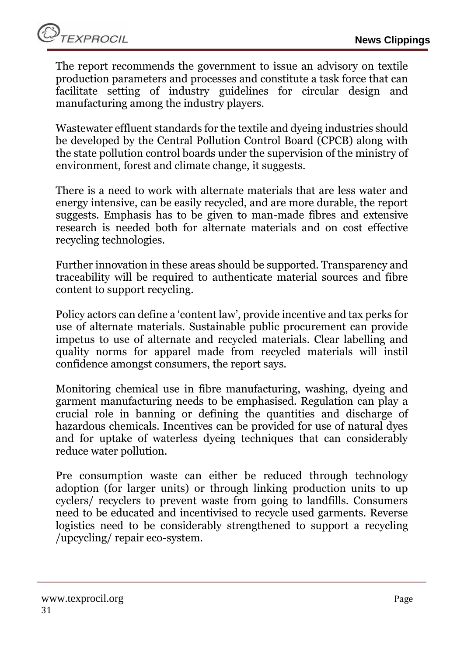The report recommends the government to issue an advisory on textile production parameters and processes and constitute a task force that can facilitate setting of industry guidelines for circular design and manufacturing among the industry players.

Wastewater effluent standards for the textile and dyeing industries should be developed by the Central Pollution Control Board (CPCB) along with the state pollution control boards under the supervision of the ministry of environment, forest and climate change, it suggests.

There is a need to work with alternate materials that are less water and energy intensive, can be easily recycled, and are more durable, the report suggests. Emphasis has to be given to man-made fibres and extensive research is needed both for alternate materials and on cost effective recycling technologies.

Further innovation in these areas should be supported. Transparency and traceability will be required to authenticate material sources and fibre content to support recycling.

Policy actors can define a 'content law', provide incentive and tax perks for use of alternate materials. Sustainable public procurement can provide impetus to use of alternate and recycled materials. Clear labelling and quality norms for apparel made from recycled materials will instil confidence amongst consumers, the report says.

Monitoring chemical use in fibre manufacturing, washing, dyeing and garment manufacturing needs to be emphasised. Regulation can play a crucial role in banning or defining the quantities and discharge of hazardous chemicals. Incentives can be provided for use of natural dyes and for uptake of waterless dyeing techniques that can considerably reduce water pollution.

Pre consumption waste can either be reduced through technology adoption (for larger units) or through linking production units to up cyclers/ recyclers to prevent waste from going to landfills. Consumers need to be educated and incentivised to recycle used garments. Reverse logistics need to be considerably strengthened to support a recycling /upcycling/ repair eco-system.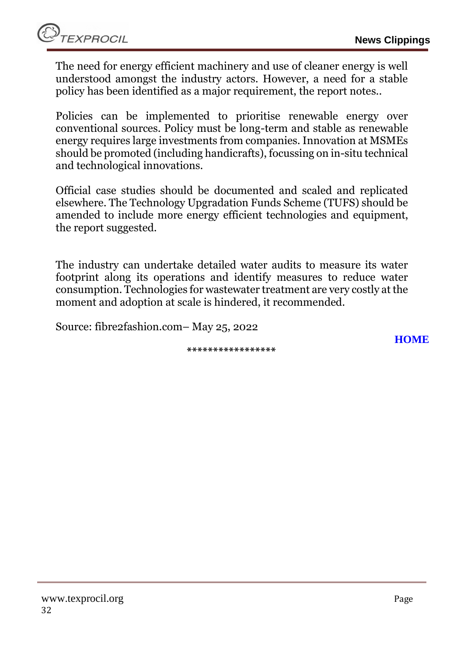The need for energy efficient machinery and use of cleaner energy is well understood amongst the industry actors. However, a need for a stable policy has been identified as a major requirement, the report notes..

Policies can be implemented to prioritise renewable energy over conventional sources. Policy must be long-term and stable as renewable energy requires large investments from companies. Innovation at MSMEs should be promoted (including handicrafts), focussing on in-situ technical and technological innovations.

Official case studies should be documented and scaled and replicated elsewhere. The Technology Upgradation Funds Scheme (TUFS) should be amended to include more energy efficient technologies and equipment, the report suggested.

The industry can undertake detailed water audits to measure its water footprint along its operations and identify measures to reduce water consumption. Technologies for wastewater treatment are very costly at the moment and adoption at scale is hindered, it recommended.

Source: fibre2fashion.com– May 25, 2022

**\*\*\*\*\*\*\*\*\*\*\*\*\*\*\*\*\***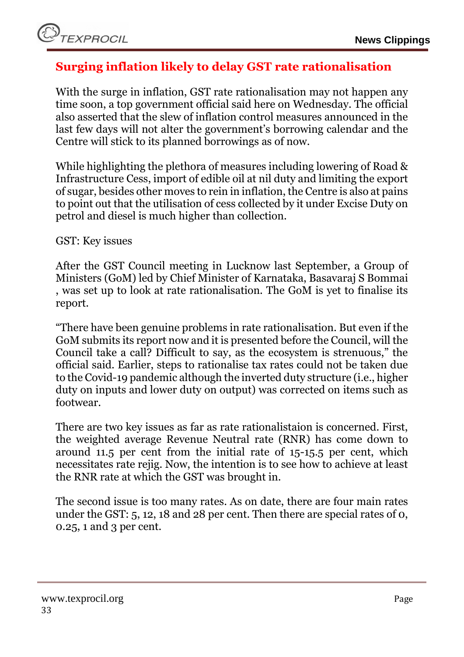# <span id="page-32-0"></span>**Surging inflation likely to delay GST rate rationalisation**

With the surge in inflation, GST rate rationalisation may not happen any time soon, a top government official said here on Wednesday. The official also asserted that the slew of inflation control measures announced in the last few days will not alter the government's borrowing calendar and the Centre will stick to its planned borrowings as of now.

While highlighting the plethora of measures including lowering of Road & Infrastructure Cess, import of edible oil at nil duty and limiting the export of sugar, besides other moves to rein in inflation, the Centre is also at pains to point out that the utilisation of cess collected by it under Excise Duty on petrol and diesel is much higher than collection.

GST: Key issues

After the GST Council meeting in Lucknow last September, a Group of Ministers (GoM) led by Chief Minister of Karnataka, Basavaraj S Bommai , was set up to look at rate rationalisation. The GoM is yet to finalise its report.

"There have been genuine problems in rate rationalisation. But even if the GoM submits its report now and it is presented before the Council, will the Council take a call? Difficult to say, as the ecosystem is strenuous," the official said. Earlier, steps to rationalise tax rates could not be taken due to the Covid-19 pandemic although the inverted duty structure (i.e., higher duty on inputs and lower duty on output) was corrected on items such as footwear.

There are two key issues as far as rate rationalistaion is concerned. First, the weighted average Revenue Neutral rate (RNR) has come down to around 11.5 per cent from the initial rate of 15-15.5 per cent, which necessitates rate rejig. Now, the intention is to see how to achieve at least the RNR rate at which the GST was brought in.

The second issue is too many rates. As on date, there are four main rates under the GST: 5, 12, 18 and 28 per cent. Then there are special rates of 0, 0.25, 1 and 3 per cent.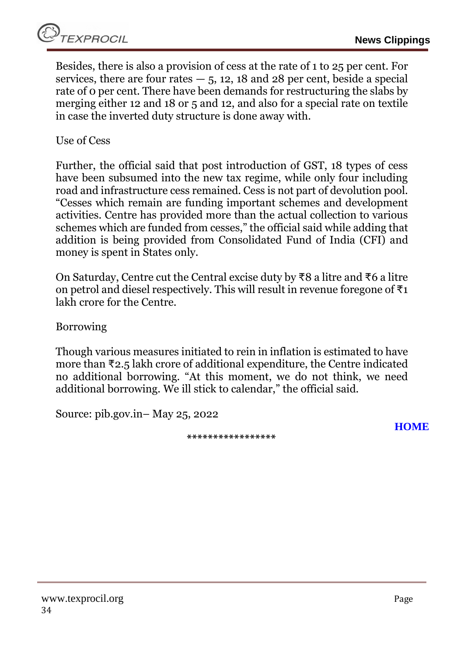Besides, there is also a provision of cess at the rate of 1 to 25 per cent. For services, there are four rates  $-5$ , 12, 18 and 28 per cent, beside a special rate of 0 per cent. There have been demands for restructuring the slabs by merging either 12 and 18 or 5 and 12, and also for a special rate on textile in case the inverted duty structure is done away with.

Use of Cess

Further, the official said that post introduction of GST, 18 types of cess have been subsumed into the new tax regime, while only four including road and infrastructure cess remained. Cess is not part of devolution pool. "Cesses which remain are funding important schemes and development activities. Centre has provided more than the actual collection to various schemes which are funded from cesses," the official said while adding that addition is being provided from Consolidated Fund of India (CFI) and money is spent in States only.

On Saturday, Centre cut the Central excise duty by ₹8 a litre and ₹6 a litre on petrol and diesel respectively. This will result in revenue foregone of  $\overline{\tau}_1$ lakh crore for the Centre.

Borrowing

Though various measures initiated to rein in inflation is estimated to have more than ₹2.5 lakh crore of additional expenditure, the Centre indicated no additional borrowing. "At this moment, we do not think, we need additional borrowing. We ill stick to calendar," the official said.

<span id="page-33-0"></span>Source: pib.gov.in– May 25, 2022

**\*\*\*\*\*\*\*\*\*\*\*\*\*\*\*\*\***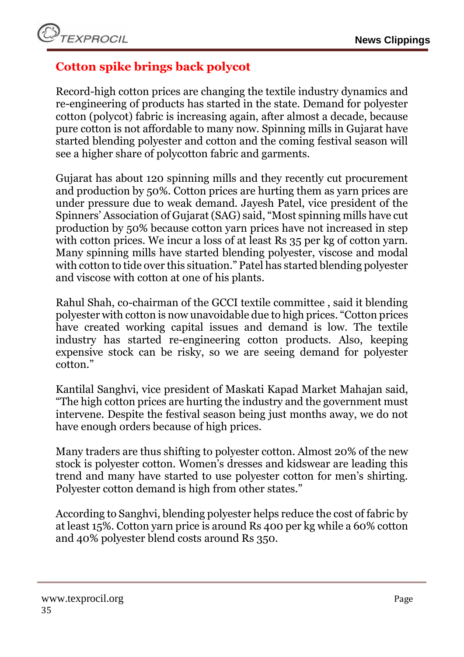# **Cotton spike brings back polycot**

Record-high cotton prices are changing the textile industry dynamics and re-engineering of products has started in the state. Demand for polyester cotton (polycot) fabric is increasing again, after almost a decade, because pure cotton is not affordable to many now. Spinning mills in Gujarat have started blending polyester and cotton and the coming festival season will see a higher share of polycotton fabric and garments.

Gujarat has about 120 spinning mills and they recently cut procurement and production by 50%. Cotton prices are hurting them as yarn prices are under pressure due to weak demand. Jayesh Patel, vice president of the Spinners' Association of Gujarat (SAG) said, "Most spinning mills have cut production by 50% because cotton yarn prices have not increased in step with cotton prices. We incur a loss of at least Rs 35 per kg of cotton yarn. Many spinning mills have started blending polyester, viscose and modal with cotton to tide over this situation." Patel has started blending polyester and viscose with cotton at one of his plants.

Rahul Shah, co-chairman of the GCCI textile committee , said it blending polyester with cotton is now unavoidable due to high prices. "Cotton prices have created working capital issues and demand is low. The textile industry has started re-engineering cotton products. Also, keeping expensive stock can be risky, so we are seeing demand for polyester cotton."

Kantilal Sanghvi, vice president of Maskati Kapad Market Mahajan said, "The high cotton prices are hurting the industry and the government must intervene. Despite the festival season being just months away, we do not have enough orders because of high prices.

Many traders are thus shifting to polyester cotton. Almost 20% of the new stock is polyester cotton. Women's dresses and kidswear are leading this trend and many have started to use polyester cotton for men's shirting. Polyester cotton demand is high from other states."

According to Sanghvi, blending polyester helps reduce the cost of fabric by at least 15%. Cotton yarn price is around Rs 400 per kg while a 60% cotton and 40% polyester blend costs around Rs 350.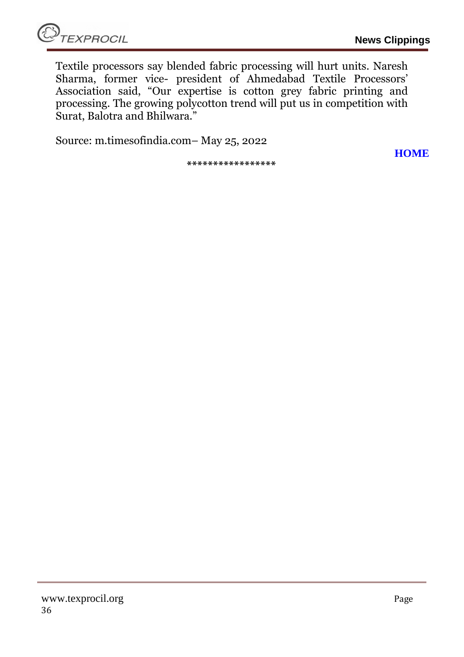**[HOME](#page-0-0)**

Textile processors say blended fabric processing will hurt units. Naresh Sharma, former vice- president of Ahmedabad Textile Processors' Association said, "Our expertise is cotton grey fabric printing and processing. The growing polycotton trend will put us in competition with Surat, Balotra and Bhilwara."

Source: m.timesofindia.com– May 25, 2022

**\*\*\*\*\*\*\*\*\*\*\*\*\*\*\*\*\***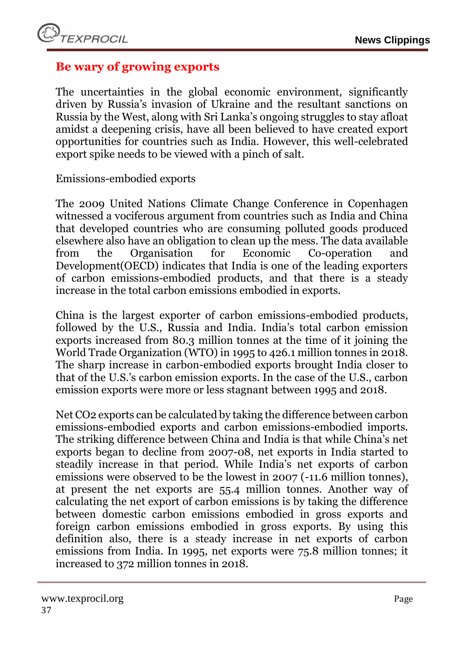# <span id="page-36-0"></span>**Be wary of growing exports**

The uncertainties in the global economic environment, significantly driven by Russia's invasion of Ukraine and the resultant sanctions on Russia by the West, along with Sri Lanka's ongoing struggles to stay afloat amidst a deepening crisis, have all been believed to have created export opportunities for countries such as India. However, this well-celebrated export spike needs to be viewed with a pinch of salt.

Emissions-embodied exports

The 2009 United Nations Climate Change Conference in Copenhagen witnessed a vociferous argument from countries such as India and China that developed countries who are consuming polluted goods produced elsewhere also have an obligation to clean up the mess. The data available from the Organisation for Economic Co-operation and Development(OECD) indicates that India is one of the leading exporters of carbon emissions-embodied products, and that there is a steady increase in the total carbon emissions embodied in exports.

China is the largest exporter of carbon emissions-embodied products, followed by the U.S., Russia and India. India's total carbon emission exports increased from 80.3 million tonnes at the time of it joining the World Trade Organization (WTO) in 1995 to 426.1 million tonnes in 2018. The sharp increase in carbon-embodied exports brought India closer to that of the U.S.'s carbon emission exports. In the case of the U.S., carbon emission exports were more or less stagnant between 1995 and 2018.

Net CO2 exports can be calculated by taking the difference between carbon emissions-embodied exports and carbon emissions-embodied imports. The striking difference between China and India is that while China's net exports began to decline from 2007-08, net exports in India started to steadily increase in that period. While India's net exports of carbon emissions were observed to be the lowest in 2007 (-11.6 million tonnes), at present the net exports are 55.4 million tonnes. Another way of calculating the net export of carbon emissions is by taking the difference between domestic carbon emissions embodied in gross exports and foreign carbon emissions embodied in gross exports. By using this definition also, there is a steady increase in net exports of carbon emissions from India. In 1995, net exports were 75.8 million tonnes; it increased to 372 million tonnes in 2018.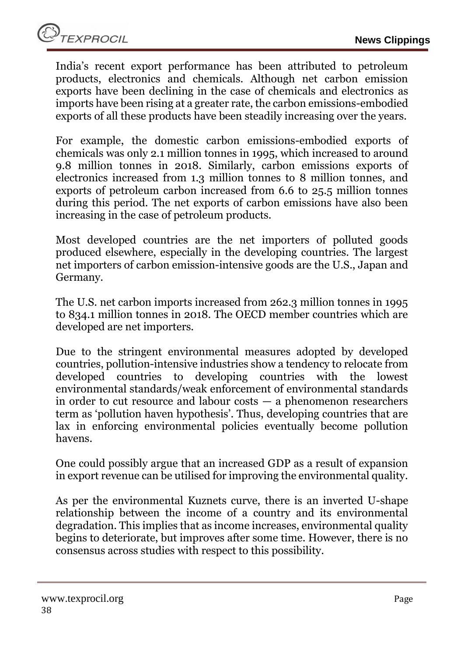India's recent export performance has been attributed to petroleum products, electronics and chemicals. Although net carbon emission exports have been declining in the case of chemicals and electronics as imports have been rising at a greater rate, the carbon emissions-embodied exports of all these products have been steadily increasing over the years.

For example, the domestic carbon emissions-embodied exports of chemicals was only 2.1 million tonnes in 1995, which increased to around 9.8 million tonnes in 2018. Similarly, carbon emissions exports of electronics increased from 1.3 million tonnes to 8 million tonnes, and exports of petroleum carbon increased from 6.6 to 25.5 million tonnes during this period. The net exports of carbon emissions have also been increasing in the case of petroleum products.

Most developed countries are the net importers of polluted goods produced elsewhere, especially in the developing countries. The largest net importers of carbon emission-intensive goods are the U.S., Japan and Germany.

The U.S. net carbon imports increased from 262.3 million tonnes in 1995 to 834.1 million tonnes in 2018. The OECD member countries which are developed are net importers.

Due to the stringent environmental measures adopted by developed countries, pollution-intensive industries show a tendency to relocate from developed countries to developing countries with the lowest environmental standards/weak enforcement of environmental standards in order to cut resource and labour costs — a phenomenon researchers term as 'pollution haven hypothesis'. Thus, developing countries that are lax in enforcing environmental policies eventually become pollution havens.

One could possibly argue that an increased GDP as a result of expansion in export revenue can be utilised for improving the environmental quality.

As per the environmental Kuznets curve, there is an inverted U-shape relationship between the income of a country and its environmental degradation. This implies that as income increases, environmental quality begins to deteriorate, but improves after some time. However, there is no consensus across studies with respect to this possibility.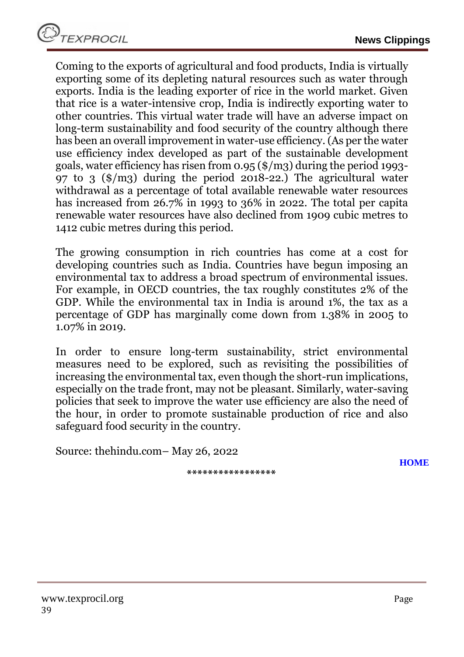Coming to the exports of agricultural and food products, India is virtually exporting some of its depleting natural resources such as water through exports. India is the leading exporter of rice in the world market. Given that rice is a water-intensive crop, India is indirectly exporting water to other countries. This virtual water trade will have an adverse impact on long-term sustainability and food security of the country although there has been an overall improvement in water-use efficiency. (As per the water use efficiency index developed as part of the sustainable development goals, water efficiency has risen from 0.95 (\$/m3) during the period 1993- 97 to 3  $(\frac{\pi}{9})$  during the period 2018-22.) The agricultural water withdrawal as a percentage of total available renewable water resources has increased from 26.7% in 1993 to 36% in 2022. The total per capita renewable water resources have also declined from 1909 cubic metres to 1412 cubic metres during this period.

The growing consumption in rich countries has come at a cost for developing countries such as India. Countries have begun imposing an environmental tax to address a broad spectrum of environmental issues. For example, in OECD countries, the tax roughly constitutes 2% of the GDP. While the environmental tax in India is around 1%, the tax as a percentage of GDP has marginally come down from 1.38% in 2005 to 1.07% in 2019.

In order to ensure long-term sustainability, strict environmental measures need to be explored, such as revisiting the possibilities of increasing the environmental tax, even though the short-run implications, especially on the trade front, may not be pleasant. Similarly, water-saving policies that seek to improve the water use efficiency are also the need of the hour, in order to promote sustainable production of rice and also safeguard food security in the country.

Source: thehindu.com– May 26, 2022

**\*\*\*\*\*\*\*\*\*\*\*\*\*\*\*\*\***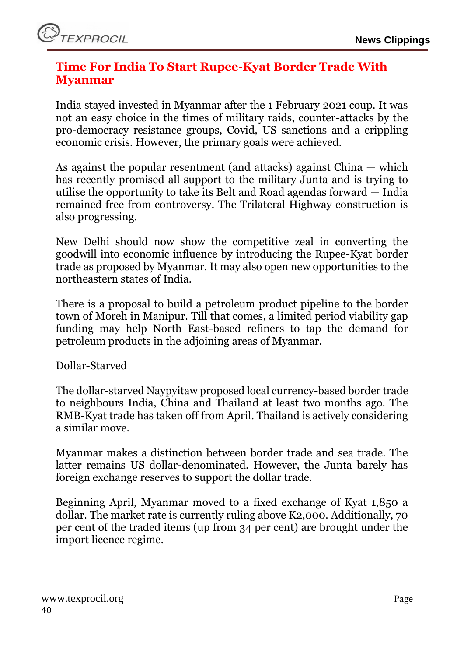# <span id="page-39-0"></span>**Time For India To Start Rupee-Kyat Border Trade With Myanmar**

India stayed invested in Myanmar after the 1 February 2021 coup. It was not an easy choice in the times of military raids, counter-attacks by the pro-democracy resistance groups, Covid, US sanctions and a crippling economic crisis. However, the primary goals were achieved.

As against the popular resentment (and attacks) against China — which has recently promised all support to the military Junta and is trying to utilise the opportunity to take its Belt and Road agendas forward — India remained free from controversy. The Trilateral Highway construction is also progressing.

New Delhi should now show the competitive zeal in converting the goodwill into economic influence by introducing the Rupee-Kyat border trade as proposed by Myanmar. It may also open new opportunities to the northeastern states of India.

There is a proposal to build a petroleum product pipeline to the border town of Moreh in Manipur. Till that comes, a limited period viability gap funding may help North East-based refiners to tap the demand for petroleum products in the adjoining areas of Myanmar.

Dollar-Starved

The dollar-starved Naypyitaw proposed local currency-based border trade to neighbours India, China and Thailand at least two months ago. The RMB-Kyat trade has taken off from April. Thailand is actively considering a similar move.

Myanmar makes a distinction between border trade and sea trade. The latter remains US dollar-denominated. However, the Junta barely has foreign exchange reserves to support the dollar trade.

Beginning April, Myanmar moved to a fixed exchange of Kyat 1,850 a dollar. The market rate is currently ruling above K2,000. Additionally, 70 per cent of the traded items (up from 34 per cent) are brought under the import licence regime.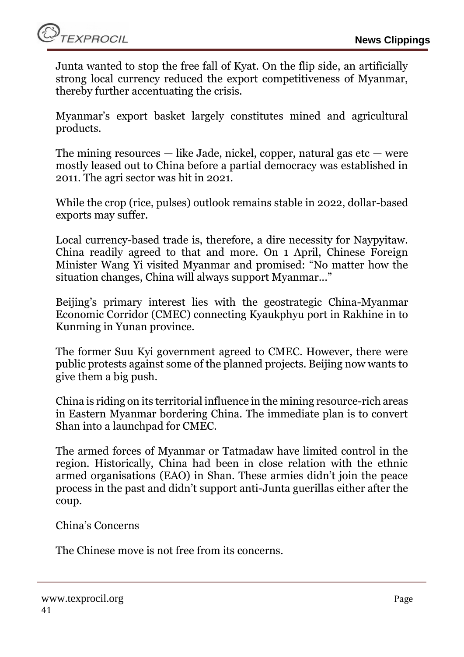Junta wanted to stop the free fall of Kyat. On the flip side, an artificially strong local currency reduced the export competitiveness of Myanmar, thereby further accentuating the crisis.

Myanmar's export basket largely constitutes mined and agricultural products.

The mining resources  $-$  like Jade, nickel, copper, natural gas etc  $-$  were mostly leased out to China before a partial democracy was established in 2011. The agri sector was hit in 2021.

While the crop (rice, pulses) outlook remains stable in 2022, dollar-based exports may suffer.

Local currency-based trade is, therefore, a dire necessity for Naypyitaw. China readily agreed to that and more. On 1 April, Chinese Foreign Minister Wang Yi visited Myanmar and promised: "No matter how the situation changes, China will always support Myanmar..."

Beijing's primary interest lies with the geostrategic China-Myanmar Economic Corridor (CMEC) connecting Kyaukphyu port in Rakhine in to Kunming in Yunan province.

The former Suu Kyi government agreed to CMEC. However, there were public protests against some of the planned projects. Beijing now wants to give them a big push.

China is riding on its territorial influence in the mining resource-rich areas in Eastern Myanmar bordering China. The immediate plan is to convert Shan into a launchpad for CMEC.

The armed forces of Myanmar or Tatmadaw have limited control in the region. Historically, China had been in close relation with the ethnic armed organisations (EAO) in Shan. These armies didn't join the peace process in the past and didn't support anti-Junta guerillas either after the coup.

China's Concerns

The Chinese move is not free from its concerns.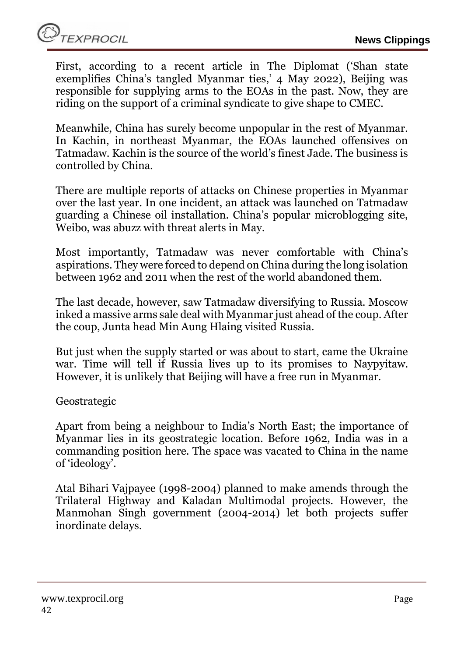First, according to a recent article in The Diplomat ('Shan state exemplifies China's tangled Myanmar ties,' 4 May 2022), Beijing was responsible for supplying arms to the EOAs in the past. Now, they are riding on the support of a criminal syndicate to give shape to CMEC.

Meanwhile, China has surely become unpopular in the rest of Myanmar. In Kachin, in northeast Myanmar, the EOAs launched offensives on Tatmadaw. Kachin is the source of the world's finest Jade. The business is controlled by China.

There are multiple reports of attacks on Chinese properties in Myanmar over the last year. In one incident, an attack was launched on Tatmadaw guarding a Chinese oil installation. China's popular microblogging site, Weibo, was abuzz with threat alerts in May.

Most importantly, Tatmadaw was never comfortable with China's aspirations. They were forced to depend on China during the long isolation between 1962 and 2011 when the rest of the world abandoned them.

The last decade, however, saw Tatmadaw diversifying to Russia. Moscow inked a massive arms sale deal with Myanmar just ahead of the coup. After the coup, Junta head Min Aung Hlaing visited Russia.

But just when the supply started or was about to start, came the Ukraine war. Time will tell if Russia lives up to its promises to Naypyitaw. However, it is unlikely that Beijing will have a free run in Myanmar.

Geostrategic

Apart from being a neighbour to India's North East; the importance of Myanmar lies in its geostrategic location. Before 1962, India was in a commanding position here. The space was vacated to China in the name of 'ideology'.

Atal Bihari Vajpayee (1998-2004) planned to make amends through the Trilateral Highway and Kaladan Multimodal projects. However, the Manmohan Singh government (2004-2014) let both projects suffer inordinate delays.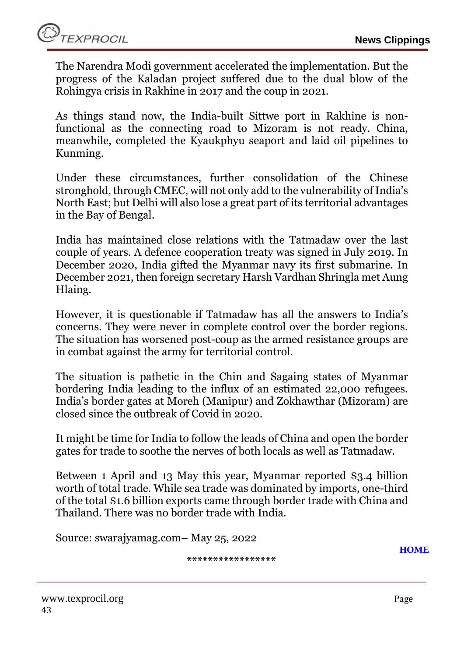The Narendra Modi government accelerated the implementation. But the progress of the Kaladan project suffered due to the dual blow of the Rohingya crisis in Rakhine in 2017 and the coup in 2021.

As things stand now, the India-built Sittwe port in Rakhine is nonfunctional as the connecting road to Mizoram is not ready. China, meanwhile, completed the Kyaukphyu seaport and laid oil pipelines to Kunming.

Under these circumstances, further consolidation of the Chinese stronghold, through CMEC, will not only add to the vulnerability of India's North East; but Delhi will also lose a great part of its territorial advantages in the Bay of Bengal.

India has maintained close relations with the Tatmadaw over the last couple of years. A defence cooperation treaty was signed in July 2019. In December 2020, India gifted the Myanmar navy its first submarine. In December 2021, then foreign secretary Harsh Vardhan Shringla met Aung Hlaing.

However, it is questionable if Tatmadaw has all the answers to India's concerns. They were never in complete control over the border regions. The situation has worsened post-coup as the armed resistance groups are in combat against the army for territorial control.

The situation is pathetic in the Chin and Sagaing states of Myanmar bordering India leading to the influx of an estimated 22,000 refugees. India's border gates at Moreh (Manipur) and Zokhawthar (Mizoram) are closed since the outbreak of Covid in 2020.

It might be time for India to follow the leads of China and open the border gates for trade to soothe the nerves of both locals as well as Tatmadaw.

Between 1 April and 13 May this year, Myanmar reported \$3.4 billion worth of total trade. While sea trade was dominated by imports, one-third of the total \$1.6 billion exports came through border trade with China and Thailand. There was no border trade with India.

Source: swarajyamag.com– May 25, 2022

**\*\*\*\*\*\*\*\*\*\*\*\*\*\*\*\*\***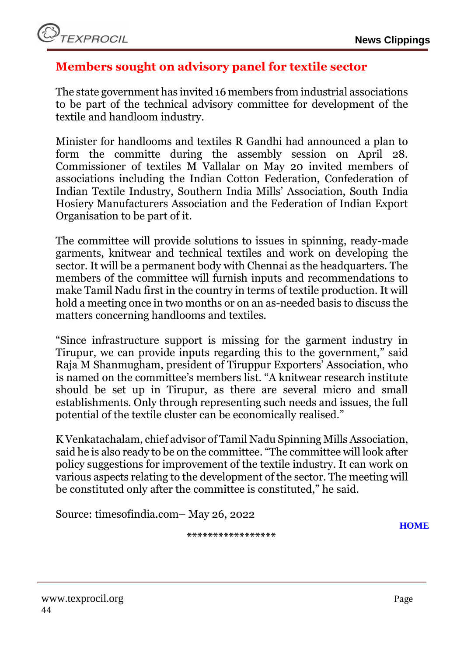# <span id="page-43-0"></span>**Members sought on advisory panel for textile sector**

The state government has invited 16 members from industrial associations to be part of the technical advisory committee for development of the textile and handloom industry.

Minister for handlooms and textiles R Gandhi had announced a plan to form the committe during the assembly session on April 28. Commissioner of textiles M Vallalar on May 20 invited members of associations including the Indian Cotton Federation, Confederation of Indian Textile Industry, Southern India Mills' Association, South India Hosiery Manufacturers Association and the Federation of Indian Export Organisation to be part of it.

The committee will provide solutions to issues in spinning, ready-made garments, knitwear and technical textiles and work on developing the sector. It will be a permanent body with Chennai as the headquarters. The members of the committee will furnish inputs and recommendations to make Tamil Nadu first in the country in terms of textile production. It will hold a meeting once in two months or on an as-needed basis to discuss the matters concerning handlooms and textiles.

"Since infrastructure support is missing for the garment industry in Tirupur, we can provide inputs regarding this to the government," said Raja M Shanmugham, president of Tiruppur Exporters' Association, who is named on the committee's members list. "A knitwear research institute should be set up in Tirupur, as there are several micro and small establishments. Only through representing such needs and issues, the full potential of the textile cluster can be economically realised."

K Venkatachalam, chief advisor of Tamil Nadu Spinning Mills Association, said he is also ready to be on the committee. "The committee will look after policy suggestions for improvement of the textile industry. It can work on various aspects relating to the development of the sector. The meeting will be constituted only after the committee is constituted," he said.

Source: timesofindia.com– May 26, 2022

**\*\*\*\*\*\*\*\*\*\*\*\*\*\*\*\*\***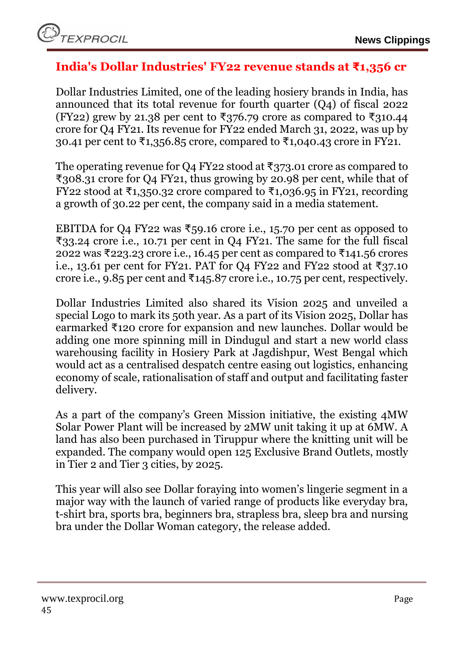# <span id="page-44-0"></span>**India's Dollar Industries' FY22 revenue stands at ₹1,356 cr**

Dollar Industries Limited, one of the leading hosiery brands in India, has announced that its total revenue for fourth quarter (Q4) of fiscal 2022 (FY22) grew by 21.38 per cent to ₹376.79 crore as compared to ₹310.44 crore for Q4 FY21. Its revenue for FY22 ended March 31, 2022, was up by 30.41 per cent to ₹1,356.85 crore, compared to ₹1,040.43 crore in FY21.

The operating revenue for Q4 FY22 stood at ₹373.01 crore as compared to ₹308.31 crore for Q4 FY21, thus growing by 20.98 per cent, while that of FY22 stood at ₹1,350.32 crore compared to ₹1,036.95 in FY21, recording a growth of 30.22 per cent, the company said in a media statement.

EBITDA for Q4 FY22 was ₹59.16 crore i.e., 15.70 per cent as opposed to ₹33.24 crore i.e., 10.71 per cent in Q4 FY21. The same for the full fiscal 2022 was ₹223.23 crore i.e., 16.45 per cent as compared to ₹141.56 crores i.e., 13.61 per cent for FY21. PAT for Q4 FY22 and FY22 stood at ₹37.10 crore i.e., 9.85 per cent and  $\overline{5}145.87$  crore i.e., 10.75 per cent, respectively.

Dollar Industries Limited also shared its Vision 2025 and unveiled a special Logo to mark its 50th year. As a part of its Vision 2025, Dollar has earmarked ₹120 crore for expansion and new launches. Dollar would be adding one more spinning mill in Dindugul and start a new world class warehousing facility in Hosiery Park at Jagdishpur, West Bengal which would act as a centralised despatch centre easing out logistics, enhancing economy of scale, rationalisation of staff and output and facilitating faster delivery.

As a part of the company's Green Mission initiative, the existing 4MW Solar Power Plant will be increased by 2MW unit taking it up at 6MW. A land has also been purchased in Tiruppur where the knitting unit will be expanded. The company would open 125 Exclusive Brand Outlets, mostly in Tier 2 and Tier 3 cities, by 2025.

This year will also see Dollar foraying into women's lingerie segment in a major way with the launch of varied range of products like everyday bra, t-shirt bra, sports bra, beginners bra, strapless bra, sleep bra and nursing bra under the Dollar Woman category, the release added.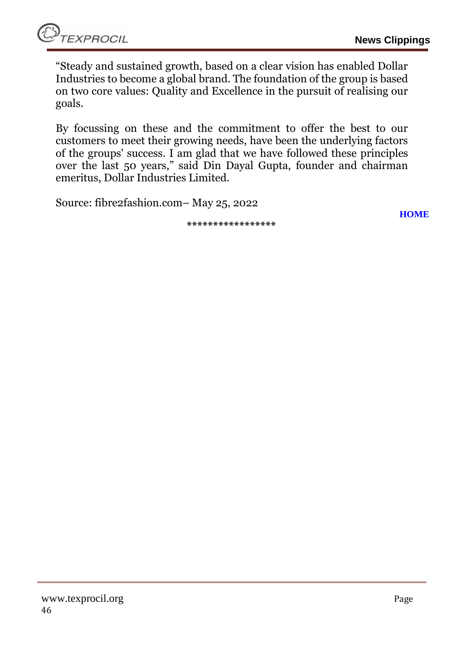"Steady and sustained growth, based on a clear vision has enabled Dollar Industries to become a global brand. The foundation of the group is based on two core values: Quality and Excellence in the pursuit of realising our goals.

By focussing on these and the commitment to offer the best to our customers to meet their growing needs, have been the underlying factors of the groups' success. I am glad that we have followed these principles over the last 50 years," said Din Dayal Gupta, founder and chairman emeritus, Dollar Industries Limited.

**\*\*\*\*\*\*\*\*\*\*\*\*\*\*\*\*\***

Source: fibre2fashion.com– May 25, 2022